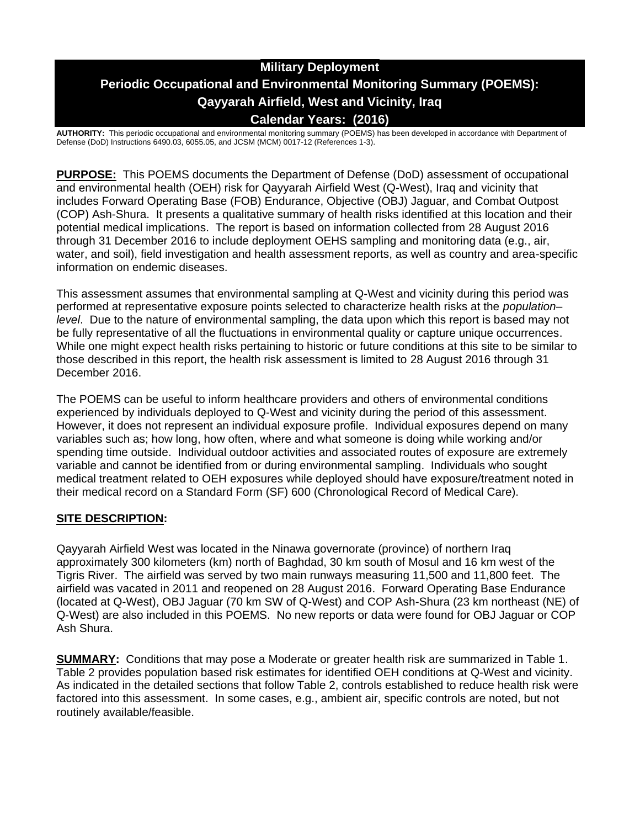# **Military Deployment Periodic Occupational and Environmental Monitoring Summary (POEMS): Qayyarah Airfield, West and Vicinity, Iraq Calendar Years: (2016)**

**AUTHORITY:** This periodic occupational and environmental monitoring summary (POEMS) has been developed in accordance with Department of Defense (DoD) Instructions 6490.03, 6055.05, and JCSM (MCM) 0017-12 (References 1-3).

**PURPOSE:** This POEMS documents the Department of Defense (DoD) assessment of occupational and environmental health (OEH) risk for Qayyarah Airfield West (Q-West), Iraq and vicinity that includes Forward Operating Base (FOB) Endurance, Objective (OBJ) Jaguar, and Combat Outpost (COP) Ash-Shura. It presents a qualitative summary of health risks identified at this location and their potential medical implications. The report is based on information collected from 28 August 2016 through 31 December 2016 to include deployment OEHS sampling and monitoring data (e.g., air, water, and soil), field investigation and health assessment reports, as well as country and area-specific information on endemic diseases.

This assessment assumes that environmental sampling at Q-West and vicinity during this period was performed at representative exposure points selected to characterize health risks at the *population– level*. Due to the nature of environmental sampling, the data upon which this report is based may not be fully representative of all the fluctuations in environmental quality or capture unique occurrences. While one might expect health risks pertaining to historic or future conditions at this site to be similar to those described in this report, the health risk assessment is limited to 28 August 2016 through 31 December 2016.

The POEMS can be useful to inform healthcare providers and others of environmental conditions experienced by individuals deployed to Q-West and vicinity during the period of this assessment. However, it does not represent an individual exposure profile. Individual exposures depend on many variables such as; how long, how often, where and what someone is doing while working and/or spending time outside. Individual outdoor activities and associated routes of exposure are extremely variable and cannot be identified from or during environmental sampling. Individuals who sought medical treatment related to OEH exposures while deployed should have exposure/treatment noted in their medical record on a Standard Form (SF) 600 (Chronological Record of Medical Care).

# **SITE DESCRIPTION:**

Qayyarah Airfield West was located in the Ninawa governorate (province) of northern Iraq approximately 300 kilometers (km) north of Baghdad, 30 km south of Mosul and 16 km west of the Tigris River. The airfield was served by two main runways measuring 11,500 and 11,800 feet. The airfield was vacated in 2011 and reopened on 28 August 2016. Forward Operating Base Endurance (located at Q-West), OBJ Jaguar (70 km SW of Q-West) and COP Ash-Shura (23 km northeast (NE) of Q-West) are also included in this POEMS. No new reports or data were found for OBJ Jaguar or COP Ash Shura.

**SUMMARY:** Conditions that may pose a Moderate or greater health risk are summarized in Table 1. Table 2 provides population based risk estimates for identified OEH conditions at Q-West and vicinity. As indicated in the detailed sections that follow Table 2, controls established to reduce health risk were factored into this assessment. In some cases, e.g., ambient air, specific controls are noted, but not routinely available/feasible.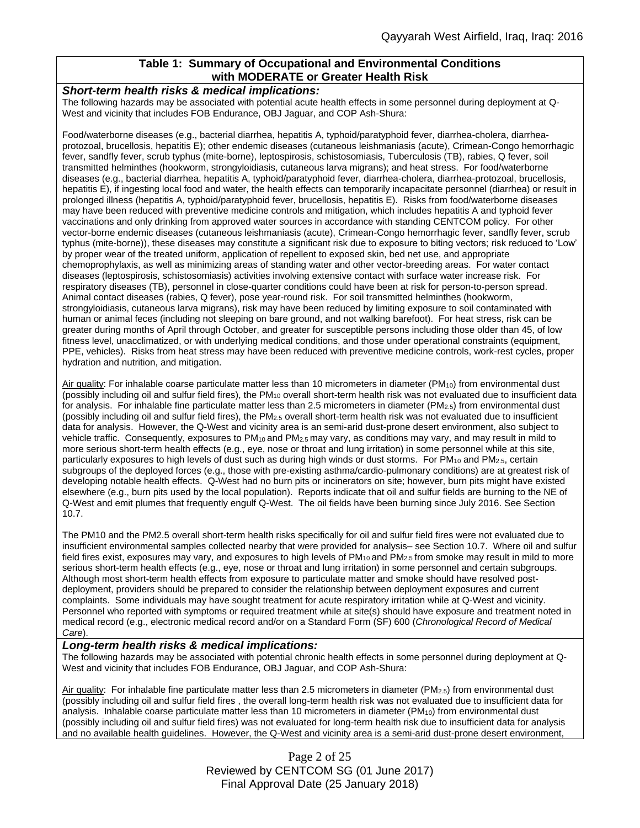# **Table 1: Summary of Occupational and Environmental Conditions with MODERATE or Greater Health Risk**

#### *Short-term health risks & medical implications:*

The following hazards may be associated with potential acute health effects in some personnel during deployment at Q-West and vicinity that includes FOB Endurance, OBJ Jaguar, and COP Ash-Shura:

Food/waterborne diseases (e.g., bacterial diarrhea, hepatitis A, typhoid/paratyphoid fever, diarrhea-cholera, diarrheaprotozoal, brucellosis, hepatitis E); other endemic diseases (cutaneous leishmaniasis (acute), Crimean-Congo hemorrhagic fever, sandfly fever, scrub typhus (mite-borne), leptospirosis, schistosomiasis, Tuberculosis (TB), rabies, Q fever, soil transmitted helminthes (hookworm, strongyloidiasis, cutaneous larva migrans); and heat stress. For food/waterborne diseases (e.g., bacterial diarrhea, hepatitis A, typhoid/paratyphoid fever, diarrhea-cholera, diarrhea-protozoal, brucellosis, hepatitis E), if ingesting local food and water, the health effects can temporarily incapacitate personnel (diarrhea) or result in prolonged illness (hepatitis A, typhoid/paratyphoid fever, brucellosis, hepatitis E). Risks from food/waterborne diseases may have been reduced with preventive medicine controls and mitigation, which includes hepatitis A and typhoid fever vaccinations and only drinking from approved water sources in accordance with standing CENTCOM policy. For other vector-borne endemic diseases (cutaneous leishmaniasis (acute), Crimean-Congo hemorrhagic fever, sandfly fever, scrub typhus (mite-borne)), these diseases may constitute a significant risk due to exposure to biting vectors; risk reduced to 'Low' by proper wear of the treated uniform, application of repellent to exposed skin, bed net use, and appropriate chemoprophylaxis, as well as minimizing areas of standing water and other vector-breeding areas. For water contact diseases (leptospirosis, schistosomiasis) activities involving extensive contact with surface water increase risk. For respiratory diseases (TB), personnel in close-quarter conditions could have been at risk for person-to-person spread. Animal contact diseases (rabies, Q fever), pose year-round risk. For soil transmitted helminthes (hookworm, strongyloidiasis, cutaneous larva migrans), risk may have been reduced by limiting exposure to soil contaminated with human or animal feces (including not sleeping on bare ground, and not walking barefoot). For heat stress, risk can be greater during months of April through October, and greater for susceptible persons including those older than 45, of low fitness level, unacclimatized, or with underlying medical conditions, and those under operational constraints (equipment, PPE, vehicles). Risks from heat stress may have been reduced with preventive medicine controls, work-rest cycles, proper hydration and nutrition, and mitigation.

Air quality: For inhalable coarse particulate matter less than 10 micrometers in diameter (PM<sub>10</sub>) from environmental dust (possibly including oil and sulfur field fires), the  $PM_{10}$  overall short-term health risk was not evaluated due to insufficient data for analysis. For inhalable fine particulate matter less than 2.5 micrometers in diameter ( $PM_{2.5}$ ) from environmental dust (possibly including oil and sulfur field fires), the  $PM_{2.5}$  overall short-term health risk was not evaluated due to insufficient data for analysis. However, the Q-West and vicinity area is an semi-arid dust-prone desert environment, also subject to vehicle traffic. Consequently, exposures to PM<sub>10</sub> and PM<sub>2.5</sub> may vary, as conditions may vary, and may result in mild to more serious short-term health effects (e.g., eye, nose or throat and lung irritation) in some personnel while at this site, particularly exposures to high levels of dust such as during high winds or dust storms. For PM<sub>10</sub> and PM<sub>2.5</sub>, certain subgroups of the deployed forces (e.g., those with pre-existing asthma/cardio-pulmonary conditions) are at greatest risk of developing notable health effects. Q-West had no burn pits or incinerators on site; however, burn pits might have existed elsewhere (e.g., burn pits used by the local population). Reports indicate that oil and sulfur fields are burning to the NE of Q-West and emit plumes that frequently engulf Q-West. The oil fields have been burning since July 2016. See Section 10.7.

The PM10 and the PM2.5 overall short-term health risks specifically for oil and sulfur field fires were not evaluated due to insufficient environmental samples collected nearby that were provided for analysis– see Section 10.7. Where oil and sulfur field fires exist, exposures may vary, and exposures to high levels of  $PM_{10}$  and  $PM_{2.5}$  from smoke may result in mild to more serious short-term health effects (e.g., eye, nose or throat and lung irritation) in some personnel and certain subgroups. Although most short-term health effects from exposure to particulate matter and smoke should have resolved postdeployment, providers should be prepared to consider the relationship between deployment exposures and current complaints. Some individuals may have sought treatment for acute respiratory irritation while at Q-West and vicinity. Personnel who reported with symptoms or required treatment while at site(s) should have exposure and treatment noted in medical record (e.g., electronic medical record and/or on a Standard Form (SF) 600 (*Chronological Record of Medical Care*).

#### *Long-term health risks & medical implications:*

The following hazards may be associated with potential chronic health effects in some personnel during deployment at Q-West and vicinity that includes FOB Endurance, OBJ Jaguar, and COP Ash-Shura:

Air quality: For inhalable fine particulate matter less than 2.5 micrometers in diameter (PM2.5) from environmental dust (possibly including oil and sulfur field fires , the overall long-term health risk was not evaluated due to insufficient data for analysis. Inhalable coarse particulate matter less than 10 micrometers in diameter (PM<sub>10</sub>) from environmental dust (possibly including oil and sulfur field fires) was not evaluated for long-term health risk due to insufficient data for analysis and no available health guidelines. However, the Q-West and vicinity area is a semi-arid dust-prone desert environment,

> Page 2 of 25 Reviewed by CENTCOM SG (01 June 2017) Final Approval Date (25 January 2018)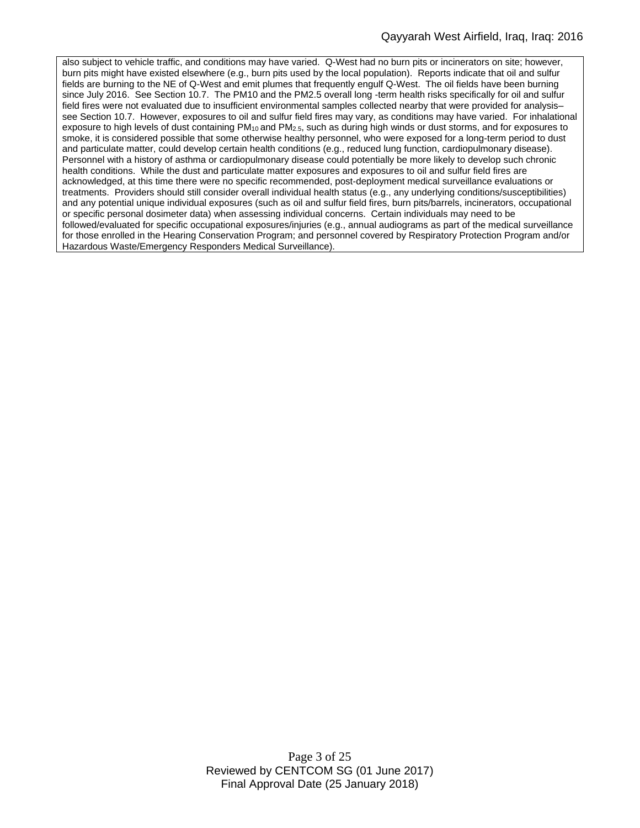also subject to vehicle traffic, and conditions may have varied. Q-West had no burn pits or incinerators on site; however, burn pits might have existed elsewhere (e.g., burn pits used by the local population). Reports indicate that oil and sulfur fields are burning to the NE of Q-West and emit plumes that frequently engulf Q-West. The oil fields have been burning since July 2016. See Section 10.7. The PM10 and the PM2.5 overall long -term health risks specifically for oil and sulfur field fires were not evaluated due to insufficient environmental samples collected nearby that were provided for analysis– see Section 10.7. However, exposures to oil and sulfur field fires may vary, as conditions may have varied. For inhalational exposure to high levels of dust containing PM<sub>10</sub> and PM<sub>2.5</sub>, such as during high winds or dust storms, and for exposures to smoke, it is considered possible that some otherwise healthy personnel, who were exposed for a long-term period to dust and particulate matter, could develop certain health conditions (e.g., reduced lung function, cardiopulmonary disease). Personnel with a history of asthma or cardiopulmonary disease could potentially be more likely to develop such chronic health conditions. While the dust and particulate matter exposures and exposures to oil and sulfur field fires are acknowledged, at this time there were no specific recommended, post-deployment medical surveillance evaluations or treatments. Providers should still consider overall individual health status (e.g., any underlying conditions/susceptibilities) and any potential unique individual exposures (such as oil and sulfur field fires, burn pits/barrels, incinerators, occupational or specific personal dosimeter data) when assessing individual concerns. Certain individuals may need to be followed/evaluated for specific occupational exposures/injuries (e.g., annual audiograms as part of the medical surveillance for those enrolled in the Hearing Conservation Program; and personnel covered by Respiratory Protection Program and/or Hazardous Waste/Emergency Responders Medical Surveillance).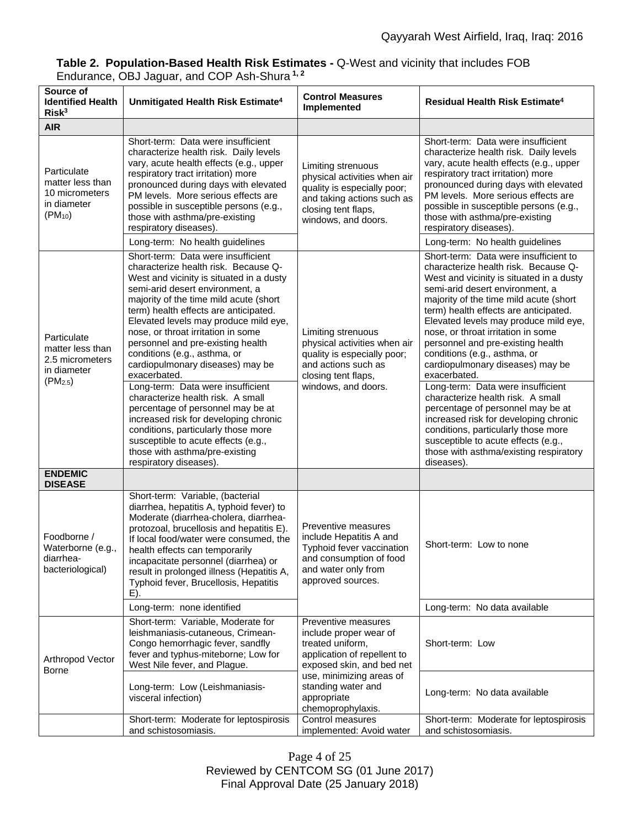# **Table 2. Population-Based Health Risk Estimates -** Q-West and vicinity that includes FOB Endurance, OBJ Jaguar, and COP Ash-Shura **1, 2**

| Source of<br><b>Identified Health</b><br>Risk <sup>3</sup>                        | Unmitigated Health Risk Estimate <sup>4</sup>                                                                                                                                                                                                                                                                                                                                                                                                                                                                                                                                                                                                                                                                                                          | <b>Control Measures</b><br>Implemented                                                                                                                        | <b>Residual Health Risk Estimate<sup>4</sup></b>                                                                                                                                                                                                                                                                                                                                                                                                                                                                                                                                                                                                                                                                                                      |
|-----------------------------------------------------------------------------------|--------------------------------------------------------------------------------------------------------------------------------------------------------------------------------------------------------------------------------------------------------------------------------------------------------------------------------------------------------------------------------------------------------------------------------------------------------------------------------------------------------------------------------------------------------------------------------------------------------------------------------------------------------------------------------------------------------------------------------------------------------|---------------------------------------------------------------------------------------------------------------------------------------------------------------|-------------------------------------------------------------------------------------------------------------------------------------------------------------------------------------------------------------------------------------------------------------------------------------------------------------------------------------------------------------------------------------------------------------------------------------------------------------------------------------------------------------------------------------------------------------------------------------------------------------------------------------------------------------------------------------------------------------------------------------------------------|
| <b>AIR</b>                                                                        |                                                                                                                                                                                                                                                                                                                                                                                                                                                                                                                                                                                                                                                                                                                                                        |                                                                                                                                                               |                                                                                                                                                                                                                                                                                                                                                                                                                                                                                                                                                                                                                                                                                                                                                       |
| Particulate<br>matter less than<br>10 micrometers<br>in diameter<br>$(PM_{10})$   | Short-term: Data were insufficient<br>characterize health risk. Daily levels<br>vary, acute health effects (e.g., upper<br>respiratory tract irritation) more<br>pronounced during days with elevated<br>PM levels. More serious effects are<br>possible in susceptible persons (e.g.,<br>those with asthma/pre-existing<br>respiratory diseases).<br>Long-term: No health guidelines                                                                                                                                                                                                                                                                                                                                                                  | Limiting strenuous<br>physical activities when air<br>quality is especially poor;<br>and taking actions such as<br>closing tent flaps,<br>windows, and doors. | Short-term: Data were insufficient<br>characterize health risk. Daily levels<br>vary, acute health effects (e.g., upper<br>respiratory tract irritation) more<br>pronounced during days with elevated<br>PM levels. More serious effects are<br>possible in susceptible persons (e.g.,<br>those with asthma/pre-existing<br>respiratory diseases).<br>Long-term: No health guidelines                                                                                                                                                                                                                                                                                                                                                                 |
| Particulate<br>matter less than<br>2.5 micrometers<br>in diameter<br>$(PM_{2.5})$ | Short-term: Data were insufficient<br>characterize health risk. Because Q-<br>West and vicinity is situated in a dusty<br>semi-arid desert environment, a<br>majority of the time mild acute (short<br>term) health effects are anticipated.<br>Elevated levels may produce mild eye,<br>nose, or throat irritation in some<br>personnel and pre-existing health<br>conditions (e.g., asthma, or<br>cardiopulmonary diseases) may be<br>exacerbated.<br>Long-term: Data were insufficient<br>characterize health risk. A small<br>percentage of personnel may be at<br>increased risk for developing chronic<br>conditions, particularly those more<br>susceptible to acute effects (e.g.,<br>those with asthma/pre-existing<br>respiratory diseases). | Limiting strenuous<br>physical activities when air<br>quality is especially poor;<br>and actions such as<br>closing tent flaps,<br>windows, and doors.        | Short-term: Data were insufficient to<br>characterize health risk. Because Q-<br>West and vicinity is situated in a dusty<br>semi-arid desert environment, a<br>majority of the time mild acute (short<br>term) health effects are anticipated.<br>Elevated levels may produce mild eye,<br>nose, or throat irritation in some<br>personnel and pre-existing health<br>conditions (e.g., asthma, or<br>cardiopulmonary diseases) may be<br>exacerbated.<br>Long-term: Data were insufficient<br>characterize health risk. A small<br>percentage of personnel may be at<br>increased risk for developing chronic<br>conditions, particularly those more<br>susceptible to acute effects (e.g.,<br>those with asthma/existing respiratory<br>diseases). |
| <b>ENDEMIC</b><br><b>DISEASE</b>                                                  |                                                                                                                                                                                                                                                                                                                                                                                                                                                                                                                                                                                                                                                                                                                                                        |                                                                                                                                                               |                                                                                                                                                                                                                                                                                                                                                                                                                                                                                                                                                                                                                                                                                                                                                       |
| Foodborne /<br>Waterborne (e.g.,<br>diarrhea-<br>bacteriological)                 | Short-term: Variable, (bacterial<br>diarrhea, hepatitis A, typhoid fever) to<br>Moderate (diarrhea-cholera, diarrhea-<br>protozoal, brucellosis and hepatitis E).<br>If local food/water were consumed, the<br>health effects can temporarily<br>incapacitate personnel (diarrhea) or<br>result in prolonged illness (Hepatitis A,<br>Typhoid fever, Brucellosis, Hepatitis<br>E).                                                                                                                                                                                                                                                                                                                                                                     | Preventive measures<br>include Hepatitis A and<br>Typhoid fever vaccination<br>and consumption of food<br>and water only from<br>approved sources.            | Short-term: Low to none                                                                                                                                                                                                                                                                                                                                                                                                                                                                                                                                                                                                                                                                                                                               |
|                                                                                   | Long-term: none identified                                                                                                                                                                                                                                                                                                                                                                                                                                                                                                                                                                                                                                                                                                                             |                                                                                                                                                               | Long-term: No data available                                                                                                                                                                                                                                                                                                                                                                                                                                                                                                                                                                                                                                                                                                                          |
| Arthropod Vector<br>Borne                                                         | Short-term: Variable, Moderate for<br>leishmaniasis-cutaneous, Crimean-<br>Congo hemorrhagic fever, sandfly<br>fever and typhus-miteborne; Low for<br>West Nile fever, and Plague.                                                                                                                                                                                                                                                                                                                                                                                                                                                                                                                                                                     | Preventive measures<br>include proper wear of<br>treated uniform,<br>application of repellent to<br>exposed skin, and bed net                                 | Short-term: Low                                                                                                                                                                                                                                                                                                                                                                                                                                                                                                                                                                                                                                                                                                                                       |
|                                                                                   | Long-term: Low (Leishmaniasis-<br>visceral infection)                                                                                                                                                                                                                                                                                                                                                                                                                                                                                                                                                                                                                                                                                                  | use, minimizing areas of<br>standing water and<br>appropriate<br>chemoprophylaxis.                                                                            | Long-term: No data available                                                                                                                                                                                                                                                                                                                                                                                                                                                                                                                                                                                                                                                                                                                          |
|                                                                                   | Short-term: Moderate for leptospirosis<br>and schistosomiasis.                                                                                                                                                                                                                                                                                                                                                                                                                                                                                                                                                                                                                                                                                         | Control measures<br>implemented: Avoid water                                                                                                                  | Short-term: Moderate for leptospirosis<br>and schistosomiasis.                                                                                                                                                                                                                                                                                                                                                                                                                                                                                                                                                                                                                                                                                        |

Page 4 of 25 Reviewed by CENTCOM SG (01 June 2017) Final Approval Date (25 January 2018)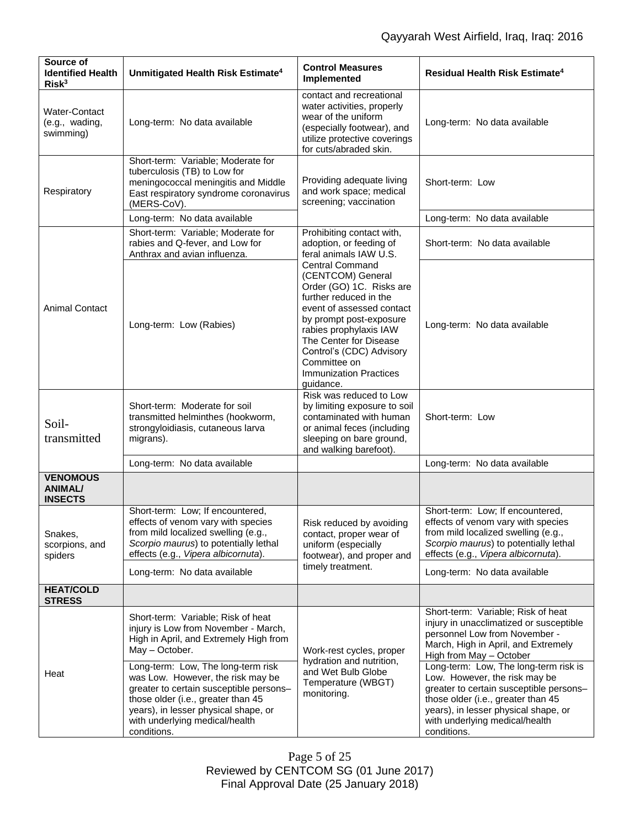| Source of<br><b>Identified Health</b><br>Risk <sup>3</sup> | Unmitigated Health Risk Estimate <sup>4</sup>                                                                                                                                                                                                     | <b>Control Measures</b><br>Implemented                                                                                                                                                                                                                                                                                                                                                    | <b>Residual Health Risk Estimate<sup>4</sup></b>                                                                                                                                                                                                 |
|------------------------------------------------------------|---------------------------------------------------------------------------------------------------------------------------------------------------------------------------------------------------------------------------------------------------|-------------------------------------------------------------------------------------------------------------------------------------------------------------------------------------------------------------------------------------------------------------------------------------------------------------------------------------------------------------------------------------------|--------------------------------------------------------------------------------------------------------------------------------------------------------------------------------------------------------------------------------------------------|
| <b>Water-Contact</b><br>(e.g., wading,<br>swimming)        | Long-term: No data available                                                                                                                                                                                                                      | contact and recreational<br>water activities, properly<br>wear of the uniform<br>(especially footwear), and<br>utilize protective coverings<br>for cuts/abraded skin.                                                                                                                                                                                                                     | Long-term: No data available                                                                                                                                                                                                                     |
| Respiratory                                                | Short-term: Variable; Moderate for<br>tuberculosis (TB) to Low for<br>meningococcal meningitis and Middle<br>East respiratory syndrome coronavirus<br>(MERS-CoV).                                                                                 | Providing adequate living<br>and work space; medical<br>screening; vaccination                                                                                                                                                                                                                                                                                                            | Short-term: Low                                                                                                                                                                                                                                  |
|                                                            | Long-term: No data available                                                                                                                                                                                                                      |                                                                                                                                                                                                                                                                                                                                                                                           | Long-term: No data available                                                                                                                                                                                                                     |
| <b>Animal Contact</b>                                      | Short-term: Variable; Moderate for<br>rabies and Q-fever, and Low for<br>Anthrax and avian influenza.                                                                                                                                             | Prohibiting contact with,<br>adoption, or feeding of<br>feral animals IAW U.S.<br><b>Central Command</b><br>(CENTCOM) General<br>Order (GO) 1C. Risks are<br>further reduced in the<br>event of assessed contact<br>by prompt post-exposure<br>rabies prophylaxis IAW<br>The Center for Disease<br>Control's (CDC) Advisory<br>Committee on<br><b>Immunization Practices</b><br>guidance. | Short-term: No data available                                                                                                                                                                                                                    |
|                                                            | Long-term: Low (Rabies)                                                                                                                                                                                                                           |                                                                                                                                                                                                                                                                                                                                                                                           | Long-term: No data available                                                                                                                                                                                                                     |
| Soil-<br>transmitted                                       | Short-term: Moderate for soil<br>transmitted helminthes (hookworm,<br>strongyloidiasis, cutaneous larva<br>migrans).                                                                                                                              | Risk was reduced to Low<br>by limiting exposure to soil<br>contaminated with human<br>or animal feces (including<br>sleeping on bare ground,<br>and walking barefoot).                                                                                                                                                                                                                    | Short-term: Low                                                                                                                                                                                                                                  |
|                                                            | Long-term: No data available                                                                                                                                                                                                                      |                                                                                                                                                                                                                                                                                                                                                                                           | Long-term: No data available                                                                                                                                                                                                                     |
| <b>VENOMOUS</b><br><b>ANIMAL/</b><br><b>INSECTS</b>        |                                                                                                                                                                                                                                                   |                                                                                                                                                                                                                                                                                                                                                                                           |                                                                                                                                                                                                                                                  |
| Snakes,<br>scorpions, and<br>spiders                       | Short-term: Low; If encountered,<br>effects of venom vary with species<br>from mild localized swelling (e.g.,<br>Scorpio maurus) to potentially lethal<br>effects (e.g., Vipera albicornuta).                                                     | Risk reduced by avoiding<br>contact, proper wear of<br>uniform (especially<br>footwear), and proper and<br>timely treatment.                                                                                                                                                                                                                                                              | Short-term: Low; If encountered,<br>effects of venom vary with species<br>from mild localized swelling (e.g.,<br>Scorpio maurus) to potentially lethal<br>effects (e.g., Vipera albicornuta).                                                    |
|                                                            | Long-term: No data available                                                                                                                                                                                                                      |                                                                                                                                                                                                                                                                                                                                                                                           | Long-term: No data available                                                                                                                                                                                                                     |
| <b>HEAT/COLD</b><br><b>STRESS</b>                          |                                                                                                                                                                                                                                                   |                                                                                                                                                                                                                                                                                                                                                                                           |                                                                                                                                                                                                                                                  |
| Heat                                                       | Short-term: Variable; Risk of heat<br>injury is Low from November - March,<br>High in April, and Extremely High from<br>May - October.                                                                                                            | Work-rest cycles, proper<br>hydration and nutrition,<br>and Wet Bulb Globe<br>Temperature (WBGT)<br>monitoring.                                                                                                                                                                                                                                                                           | Short-term: Variable; Risk of heat<br>injury in unacclimatized or susceptible<br>personnel Low from November -<br>March, High in April, and Extremely<br>High from May - October                                                                 |
|                                                            | Long-term: Low, The long-term risk<br>was Low. However, the risk may be<br>greater to certain susceptible persons-<br>those older (i.e., greater than 45<br>years), in lesser physical shape, or<br>with underlying medical/health<br>conditions. |                                                                                                                                                                                                                                                                                                                                                                                           | Long-term: Low, The long-term risk is<br>Low. However, the risk may be<br>greater to certain susceptible persons-<br>those older (i.e., greater than 45<br>years), in lesser physical shape, or<br>with underlying medical/health<br>conditions. |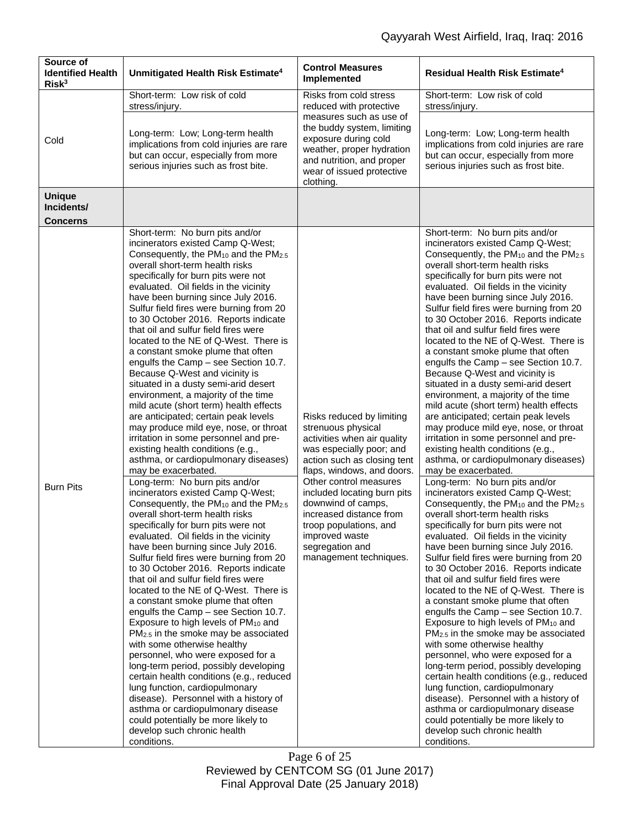| Source of<br><b>Identified Health</b><br>Risk <sup>3</sup> | Unmitigated Health Risk Estimate <sup>4</sup>                                                                                                                                                                                                                                                                                                                                                                                                                                                                                                                                                                                                                                                                                                                                                                                                                                                                                                                                                                                                                                                                                                                                                                                                                                                                                                                                                                                                                                                                                                                                                                                                                                                                                                                                                                                                                                                                                                                 | <b>Control Measures</b><br>Implemented                                                                                                                                                                                                                                                                                                                                     | <b>Residual Health Risk Estimate<sup>4</sup></b>                                                                                                                                                                                                                                                                                                                                                                                                                                                                                                                                                                                                                                                                                                                                                                                                                                                                                                                                                                                                                                                                                                                                                                                                                                                                                                                                                                                                                                                                                                                                                                                                                                                                                                                                                                                                                                                                                                              |
|------------------------------------------------------------|---------------------------------------------------------------------------------------------------------------------------------------------------------------------------------------------------------------------------------------------------------------------------------------------------------------------------------------------------------------------------------------------------------------------------------------------------------------------------------------------------------------------------------------------------------------------------------------------------------------------------------------------------------------------------------------------------------------------------------------------------------------------------------------------------------------------------------------------------------------------------------------------------------------------------------------------------------------------------------------------------------------------------------------------------------------------------------------------------------------------------------------------------------------------------------------------------------------------------------------------------------------------------------------------------------------------------------------------------------------------------------------------------------------------------------------------------------------------------------------------------------------------------------------------------------------------------------------------------------------------------------------------------------------------------------------------------------------------------------------------------------------------------------------------------------------------------------------------------------------------------------------------------------------------------------------------------------------|----------------------------------------------------------------------------------------------------------------------------------------------------------------------------------------------------------------------------------------------------------------------------------------------------------------------------------------------------------------------------|---------------------------------------------------------------------------------------------------------------------------------------------------------------------------------------------------------------------------------------------------------------------------------------------------------------------------------------------------------------------------------------------------------------------------------------------------------------------------------------------------------------------------------------------------------------------------------------------------------------------------------------------------------------------------------------------------------------------------------------------------------------------------------------------------------------------------------------------------------------------------------------------------------------------------------------------------------------------------------------------------------------------------------------------------------------------------------------------------------------------------------------------------------------------------------------------------------------------------------------------------------------------------------------------------------------------------------------------------------------------------------------------------------------------------------------------------------------------------------------------------------------------------------------------------------------------------------------------------------------------------------------------------------------------------------------------------------------------------------------------------------------------------------------------------------------------------------------------------------------------------------------------------------------------------------------------------------------|
| Cold                                                       | Short-term: Low risk of cold<br>stress/injury.                                                                                                                                                                                                                                                                                                                                                                                                                                                                                                                                                                                                                                                                                                                                                                                                                                                                                                                                                                                                                                                                                                                                                                                                                                                                                                                                                                                                                                                                                                                                                                                                                                                                                                                                                                                                                                                                                                                | Risks from cold stress<br>reduced with protective<br>measures such as use of<br>the buddy system, limiting<br>exposure during cold<br>weather, proper hydration<br>and nutrition, and proper<br>wear of issued protective<br>clothing.                                                                                                                                     | Short-term: Low risk of cold<br>stress/injury.                                                                                                                                                                                                                                                                                                                                                                                                                                                                                                                                                                                                                                                                                                                                                                                                                                                                                                                                                                                                                                                                                                                                                                                                                                                                                                                                                                                                                                                                                                                                                                                                                                                                                                                                                                                                                                                                                                                |
|                                                            | Long-term: Low; Long-term health<br>implications from cold injuries are rare<br>but can occur, especially from more<br>serious injuries such as frost bite.                                                                                                                                                                                                                                                                                                                                                                                                                                                                                                                                                                                                                                                                                                                                                                                                                                                                                                                                                                                                                                                                                                                                                                                                                                                                                                                                                                                                                                                                                                                                                                                                                                                                                                                                                                                                   |                                                                                                                                                                                                                                                                                                                                                                            | Long-term: Low; Long-term health<br>implications from cold injuries are rare<br>but can occur, especially from more<br>serious injuries such as frost bite.                                                                                                                                                                                                                                                                                                                                                                                                                                                                                                                                                                                                                                                                                                                                                                                                                                                                                                                                                                                                                                                                                                                                                                                                                                                                                                                                                                                                                                                                                                                                                                                                                                                                                                                                                                                                   |
| <b>Unique</b><br>Incidents/<br><b>Concerns</b>             |                                                                                                                                                                                                                                                                                                                                                                                                                                                                                                                                                                                                                                                                                                                                                                                                                                                                                                                                                                                                                                                                                                                                                                                                                                                                                                                                                                                                                                                                                                                                                                                                                                                                                                                                                                                                                                                                                                                                                               |                                                                                                                                                                                                                                                                                                                                                                            |                                                                                                                                                                                                                                                                                                                                                                                                                                                                                                                                                                                                                                                                                                                                                                                                                                                                                                                                                                                                                                                                                                                                                                                                                                                                                                                                                                                                                                                                                                                                                                                                                                                                                                                                                                                                                                                                                                                                                               |
| <b>Burn Pits</b>                                           | Short-term: No burn pits and/or<br>incinerators existed Camp Q-West;<br>Consequently, the PM <sub>10</sub> and the PM <sub>2.5</sub><br>overall short-term health risks<br>specifically for burn pits were not<br>evaluated. Oil fields in the vicinity<br>have been burning since July 2016.<br>Sulfur field fires were burning from 20<br>to 30 October 2016. Reports indicate<br>that oil and sulfur field fires were<br>located to the NE of Q-West. There is<br>a constant smoke plume that often<br>engulfs the Camp - see Section 10.7.<br>Because Q-West and vicinity is<br>situated in a dusty semi-arid desert<br>environment, a majority of the time<br>mild acute (short term) health effects<br>are anticipated; certain peak levels<br>may produce mild eye, nose, or throat<br>irritation in some personnel and pre-<br>existing health conditions (e.g.,<br>asthma, or cardiopulmonary diseases)<br>may be exacerbated.<br>Long-term: No burn pits and/or<br>incinerators existed Camp Q-West;<br>Consequently, the PM <sub>10</sub> and the PM <sub>2.5</sub><br>overall short-term health risks<br>specifically for burn pits were not<br>evaluated. Oil fields in the vicinity<br>have been burning since July 2016.<br>Sulfur field fires were burning from 20<br>to 30 October 2016. Reports indicate<br>that oil and sulfur field fires were<br>located to the NE of Q-West. There is<br>a constant smoke plume that often<br>engulfs the Camp - see Section 10.7.<br>Exposure to high levels of PM <sub>10</sub> and<br>PM <sub>2.5</sub> in the smoke may be associated<br>with some otherwise healthy<br>personnel, who were exposed for a<br>long-term period, possibly developing<br>certain health conditions (e.g., reduced<br>lung function, cardiopulmonary<br>disease). Personnel with a history of<br>asthma or cardiopulmonary disease<br>could potentially be more likely to<br>develop such chronic health<br>conditions. | Risks reduced by limiting<br>strenuous physical<br>activities when air quality<br>was especially poor; and<br>action such as closing tent<br>flaps, windows, and doors.<br>Other control measures<br>included locating burn pits<br>downwind of camps,<br>increased distance from<br>troop populations, and<br>improved waste<br>segregation and<br>management techniques. | Short-term: No burn pits and/or<br>incinerators existed Camp Q-West;<br>Consequently, the PM <sub>10</sub> and the PM <sub>2.5</sub><br>overall short-term health risks<br>specifically for burn pits were not<br>evaluated. Oil fields in the vicinity<br>have been burning since July 2016.<br>Sulfur field fires were burning from 20<br>to 30 October 2016. Reports indicate<br>that oil and sulfur field fires were<br>located to the NE of Q-West. There is<br>a constant smoke plume that often<br>engulfs the Camp - see Section 10.7.<br>Because Q-West and vicinity is<br>situated in a dusty semi-arid desert<br>environment, a majority of the time<br>mild acute (short term) health effects<br>are anticipated; certain peak levels<br>may produce mild eye, nose, or throat<br>irritation in some personnel and pre-<br>existing health conditions (e.g.,<br>asthma, or cardiopulmonary diseases)<br>may be exacerbated.<br>Long-term: No burn pits and/or<br>incinerators existed Camp Q-West;<br>Consequently, the PM <sub>10</sub> and the PM <sub>2.5</sub><br>overall short-term health risks<br>specifically for burn pits were not<br>evaluated. Oil fields in the vicinity<br>have been burning since July 2016.<br>Sulfur field fires were burning from 20<br>to 30 October 2016. Reports indicate<br>that oil and sulfur field fires were<br>located to the NE of Q-West. There is<br>a constant smoke plume that often<br>engulfs the Camp - see Section 10.7.<br>Exposure to high levels of PM <sub>10</sub> and<br>PM <sub>2.5</sub> in the smoke may be associated<br>with some otherwise healthy<br>personnel, who were exposed for a<br>long-term period, possibly developing<br>certain health conditions (e.g., reduced<br>lung function, cardiopulmonary<br>disease). Personnel with a history of<br>asthma or cardiopulmonary disease<br>could potentially be more likely to<br>develop such chronic health<br>conditions. |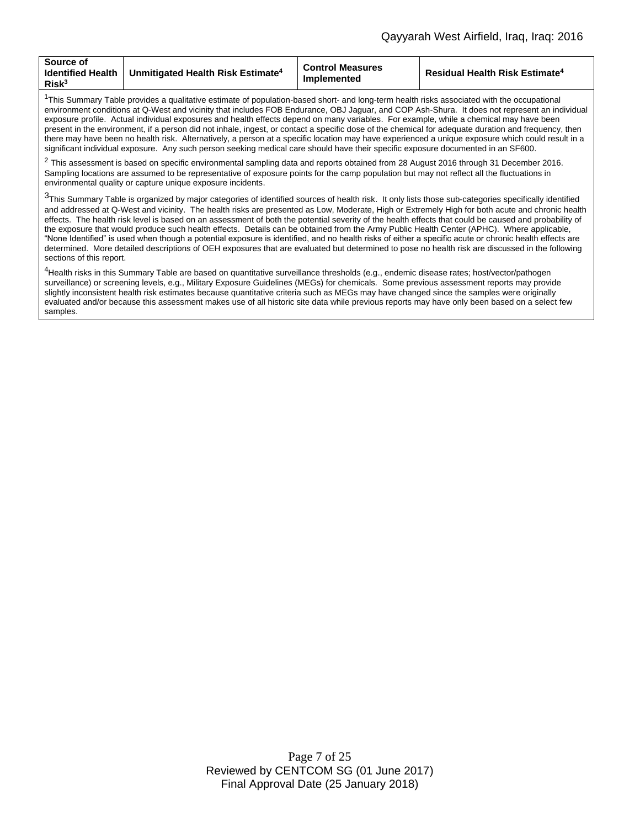| Source of<br><b>Identified Health</b><br>Risk <sup>3</sup> | $\,$ l Unmitigated Health Risk Estimate $^4$ | <b>Control Measures</b><br>Implemented | <b>Residual Health Risk Estimate<sup>4</sup></b> |
|------------------------------------------------------------|----------------------------------------------|----------------------------------------|--------------------------------------------------|
|------------------------------------------------------------|----------------------------------------------|----------------------------------------|--------------------------------------------------|

 $1$ This Summary Table provides a qualitative estimate of population-based short- and long-term health risks associated with the occupational environment conditions at Q-West and vicinity that includes FOB Endurance, OBJ Jaguar, and COP Ash-Shura. It does not represent an individual exposure profile. Actual individual exposures and health effects depend on many variables. For example, while a chemical may have been present in the environment, if a person did not inhale, ingest, or contact a specific dose of the chemical for adequate duration and frequency, then there may have been no health risk. Alternatively, a person at a specific location may have experienced a unique exposure which could result in a significant individual exposure. Any such person seeking medical care should have their specific exposure documented in an SF600.

 $^2$  This assessment is based on specific environmental sampling data and reports obtained from 28 August 2016 through 31 December 2016. Sampling locations are assumed to be representative of exposure points for the camp population but may not reflect all the fluctuations in environmental quality or capture unique exposure incidents.

<sup>3</sup>This Summary Table is organized by major categories of identified sources of health risk. It only lists those sub-categories specifically identified and addressed at Q-West and vicinity. The health risks are presented as Low, Moderate, High or Extremely High for both acute and chronic health effects. The health risk level is based on an assessment of both the potential severity of the health effects that could be caused and probability of the exposure that would produce such health effects. Details can be obtained from the Army Public Health Center (APHC). Where applicable, "None Identified" is used when though a potential exposure is identified, and no health risks of either a specific acute or chronic health effects are determined. More detailed descriptions of OEH exposures that are evaluated but determined to pose no health risk are discussed in the following sections of this report.

<sup>4</sup>Health risks in this Summary Table are based on quantitative surveillance thresholds (e.g., endemic disease rates; host/vector/pathogen surveillance) or screening levels, e.g., Military Exposure Guidelines (MEGs) for chemicals*.* Some previous assessment reports may provide slightly inconsistent health risk estimates because quantitative criteria such as MEGs may have changed since the samples were originally evaluated and/or because this assessment makes use of all historic site data while previous reports may have only been based on a select few samples.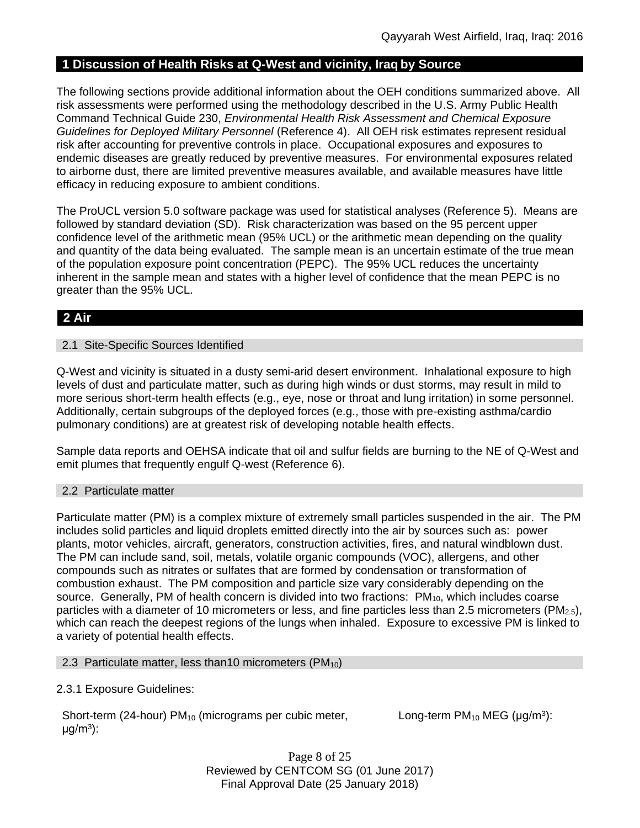# **1 Discussion of Health Risks at Q-West and vicinity, Iraq by Source**

The following sections provide additional information about the OEH conditions summarized above. All risk assessments were performed using the methodology described in the U.S. Army Public Health Command Technical Guide 230, *Environmental Health Risk Assessment and Chemical Exposure Guidelines for Deployed Military Personnel* (Reference 4). All OEH risk estimates represent residual risk after accounting for preventive controls in place. Occupational exposures and exposures to endemic diseases are greatly reduced by preventive measures. For environmental exposures related to airborne dust, there are limited preventive measures available, and available measures have little efficacy in reducing exposure to ambient conditions.

The ProUCL version 5.0 software package was used for statistical analyses (Reference 5). Means are followed by standard deviation (SD). Risk characterization was based on the 95 percent upper confidence level of the arithmetic mean (95% UCL) or the arithmetic mean depending on the quality and quantity of the data being evaluated. The sample mean is an uncertain estimate of the true mean of the population exposure point concentration (PEPC). The 95% UCL reduces the uncertainty inherent in the sample mean and states with a higher level of confidence that the mean PEPC is no greater than the 95% UCL.

# **2 Air**

## 2.1 Site-Specific Sources Identified

Q-West and vicinity is situated in a dusty semi-arid desert environment. Inhalational exposure to high levels of dust and particulate matter, such as during high winds or dust storms, may result in mild to more serious short-term health effects (e.g., eye, nose or throat and lung irritation) in some personnel. Additionally, certain subgroups of the deployed forces (e.g., those with pre-existing asthma/cardio pulmonary conditions) are at greatest risk of developing notable health effects.

Sample data reports and OEHSA indicate that oil and sulfur fields are burning to the NE of Q-West and emit plumes that frequently engulf Q-west (Reference 6).

## 2.2 Particulate matter

Particulate matter (PM) is a complex mixture of extremely small particles suspended in the air. The PM includes solid particles and liquid droplets emitted directly into the air by sources such as: power plants, motor vehicles, aircraft, generators, construction activities, fires, and natural windblown dust. The PM can include sand, soil, metals, volatile organic compounds (VOC), allergens, and other compounds such as nitrates or sulfates that are formed by condensation or transformation of combustion exhaust. The PM composition and particle size vary considerably depending on the source. Generally, PM of health concern is divided into two fractions: PM<sub>10</sub>, which includes coarse particles with a diameter of 10 micrometers or less, and fine particles less than 2.5 micrometers ( $PM_{2.5}$ ), which can reach the deepest regions of the lungs when inhaled. Exposure to excessive PM is linked to a variety of potential health effects.

## 2.3 Particulate matter, less than 10 micrometers ( $PM_{10}$ )

# 2.3.1 Exposure Guidelines:

Short-term (24-hour) PM<sub>10</sub> (micrograms per cubic meter,  $\mu$ g/m<sup>3</sup>):

Long-term  $PM_{10}$  MEG ( $\mu$ g/m<sup>3</sup>):

Page 8 of 25 Reviewed by CENTCOM SG (01 June 2017) Final Approval Date (25 January 2018)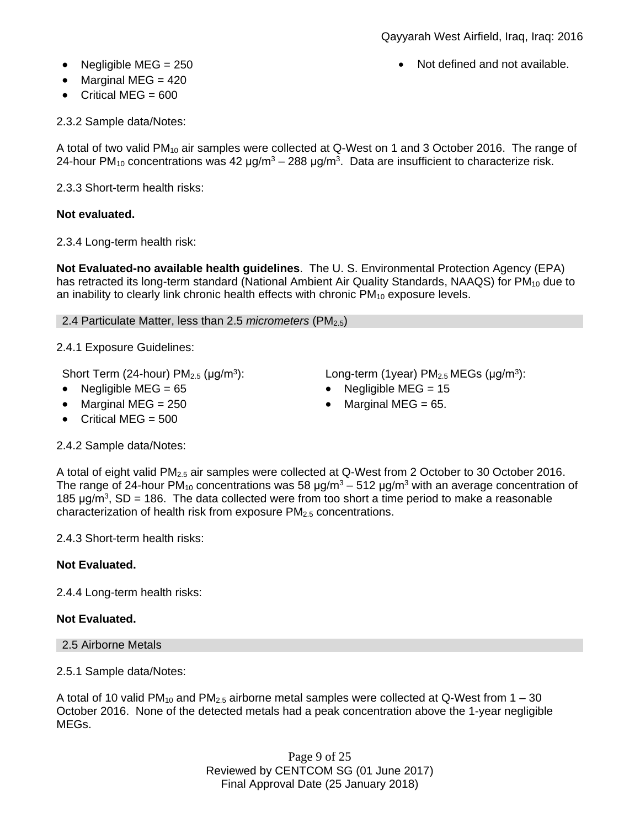- Negligible MEG = 250 **Note and not available.** Not defined and not available.
- $\bullet$  Marginal MEG = 420
- $\bullet$  Critical MFG = 600

2.3.2 Sample data/Notes:

A total of two valid  $PM_{10}$  air samples were collected at Q-West on 1 and 3 October 2016. The range of 24-hour PM<sub>10</sub> concentrations was 42  $\mu$ g/m<sup>3</sup> – 288  $\mu$ g/m<sup>3</sup>. Data are insufficient to characterize risk.

2.3.3 Short-term health risks:

# **Not evaluated.**

2.3.4 Long-term health risk:

**Not Evaluated-no available health guidelines**. The U. S. Environmental Protection Agency (EPA) has retracted its long-term standard (National Ambient Air Quality Standards, NAAQS) for  $PM_{10}$  due to an inability to clearly link chronic health effects with chronic  $PM_{10}$  exposure levels.

2.4 Particulate Matter, less than 2.5 *micrometers* (PM2.5)

2.4.1 Exposure Guidelines:

Short Term (24-hour)  $PM<sub>2.5</sub>$  ( $\mu$ g/m<sup>3</sup>):

- 
- Marginal MEG =  $250$  Marginal MEG =  $65$ .

• Critical MEG =  $500$ 

): Long-term (1year)  $PM_{2.5}$ MEGs ( $\mu$ g/m<sup>3</sup>):

- Negligible MEG = 65 Negligible MEG = 15
	-

2.4.2 Sample data/Notes:

A total of eight valid PM2.5 air samples were collected at Q-West from 2 October to 30 October 2016. The range of 24-hour PM<sub>10</sub> concentrations was 58  $\mu$ g/m<sup>3</sup> – 512  $\mu$ g/m<sup>3</sup> with an average concentration of 185  $\mu$ g/m<sup>3</sup>, SD = 186. The data collected were from too short a time period to make a reasonable characterization of health risk from exposure PM<sub>2.5</sub> concentrations.

2.4.3 Short-term health risks:

# **Not Evaluated.**

2.4.4 Long-term health risks:

# **Not Evaluated.**

2.5 Airborne Metals

2.5.1 Sample data/Notes:

A total of 10 valid PM<sub>10</sub> and PM<sub>2.5</sub> airborne metal samples were collected at Q-West from  $1 - 30$ October 2016. None of the detected metals had a peak concentration above the 1-year negligible MEGs.

> Page 9 of 25 Reviewed by CENTCOM SG (01 June 2017) Final Approval Date (25 January 2018)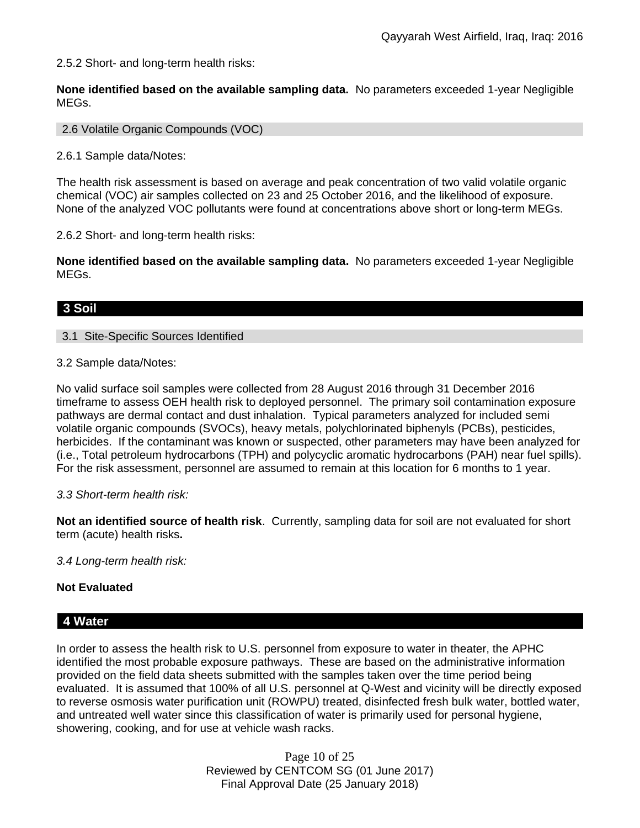2.5.2 Short- and long-term health risks:

**None identified based on the available sampling data.** No parameters exceeded 1-year Negligible MEGs.

2.6 Volatile Organic Compounds (VOC)

2.6.1 Sample data/Notes:

The health risk assessment is based on average and peak concentration of two valid volatile organic chemical (VOC) air samples collected on 23 and 25 October 2016, and the likelihood of exposure. None of the analyzed VOC pollutants were found at concentrations above short or long-term MEGs.

2.6.2 Short- and long-term health risks:

**None identified based on the available sampling data.** No parameters exceeded 1-year Negligible MEGs.

# **3 Soil**

## 3.1 Site-Specific Sources Identified

3.2 Sample data/Notes:

No valid surface soil samples were collected from 28 August 2016 through 31 December 2016 timeframe to assess OEH health risk to deployed personnel. The primary soil contamination exposure pathways are dermal contact and dust inhalation. Typical parameters analyzed for included semi volatile organic compounds (SVOCs), heavy metals, polychlorinated biphenyls (PCBs), pesticides, herbicides. If the contaminant was known or suspected, other parameters may have been analyzed for (i.e., Total petroleum hydrocarbons (TPH) and polycyclic aromatic hydrocarbons (PAH) near fuel spills). For the risk assessment, personnel are assumed to remain at this location for 6 months to 1 year.

## *3.3 Short-term health risk:*

**Not an identified source of health risk**. Currently, sampling data for soil are not evaluated for short term (acute) health risks**.**

*3.4 Long-term health risk:*

## **Not Evaluated**

## **4 Water**

In order to assess the health risk to U.S. personnel from exposure to water in theater, the APHC identified the most probable exposure pathways. These are based on the administrative information provided on the field data sheets submitted with the samples taken over the time period being evaluated. It is assumed that 100% of all U.S. personnel at Q-West and vicinity will be directly exposed to reverse osmosis water purification unit (ROWPU) treated, disinfected fresh bulk water, bottled water, and untreated well water since this classification of water is primarily used for personal hygiene, showering, cooking, and for use at vehicle wash racks.

> Page 10 of 25 Reviewed by CENTCOM SG (01 June 2017) Final Approval Date (25 January 2018)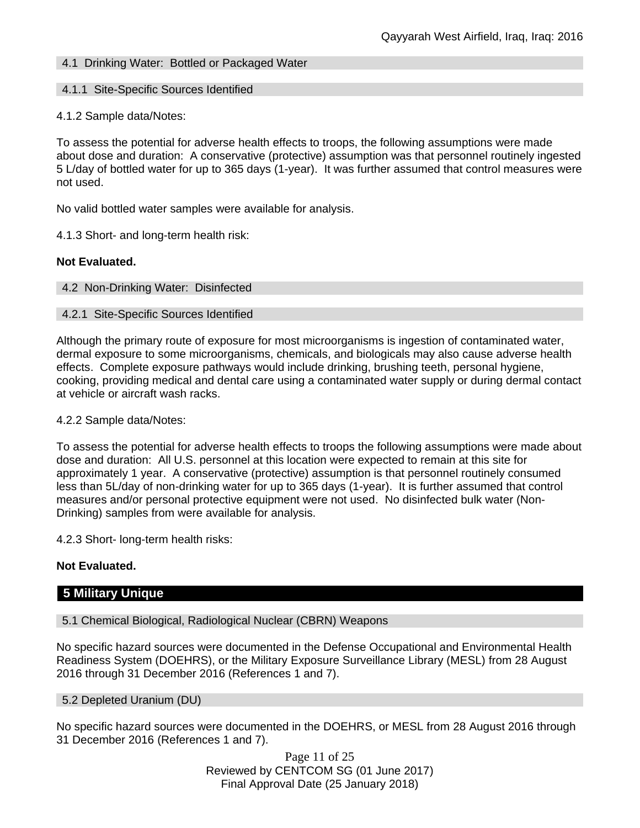# 4.1 Drinking Water: Bottled or Packaged Water

#### 4.1.1 Site-Specific Sources Identified

#### 4.1.2 Sample data/Notes:

To assess the potential for adverse health effects to troops, the following assumptions were made about dose and duration: A conservative (protective) assumption was that personnel routinely ingested 5 L/day of bottled water for up to 365 days (1-year). It was further assumed that control measures were not used.

No valid bottled water samples were available for analysis.

4.1.3 Short- and long-term health risk:

## **Not Evaluated.**

4.2 Non-Drinking Water: Disinfected

#### 4.2.1 Site-Specific Sources Identified

Although the primary route of exposure for most microorganisms is ingestion of contaminated water, dermal exposure to some microorganisms, chemicals, and biologicals may also cause adverse health effects. Complete exposure pathways would include drinking, brushing teeth, personal hygiene, cooking, providing medical and dental care using a contaminated water supply or during dermal contact at vehicle or aircraft wash racks.

#### 4.2.2 Sample data/Notes:

To assess the potential for adverse health effects to troops the following assumptions were made about dose and duration: All U.S. personnel at this location were expected to remain at this site for approximately 1 year. A conservative (protective) assumption is that personnel routinely consumed less than 5L/day of non-drinking water for up to 365 days (1-year). It is further assumed that control measures and/or personal protective equipment were not used. No disinfected bulk water (Non-Drinking) samples from were available for analysis.

4.2.3 Short- long-term health risks:

## **Not Evaluated.**

# **5 Military Unique**

#### 5.1 Chemical Biological, Radiological Nuclear (CBRN) Weapons

No specific hazard sources were documented in the Defense Occupational and Environmental Health Readiness System (DOEHRS), or the Military Exposure Surveillance Library (MESL) from 28 August 2016 through 31 December 2016 (References 1 and 7).

#### 5.2 Depleted Uranium (DU)

No specific hazard sources were documented in the DOEHRS, or MESL from 28 August 2016 through 31 December 2016 (References 1 and 7).

> Page 11 of 25 Reviewed by CENTCOM SG (01 June 2017) Final Approval Date (25 January 2018)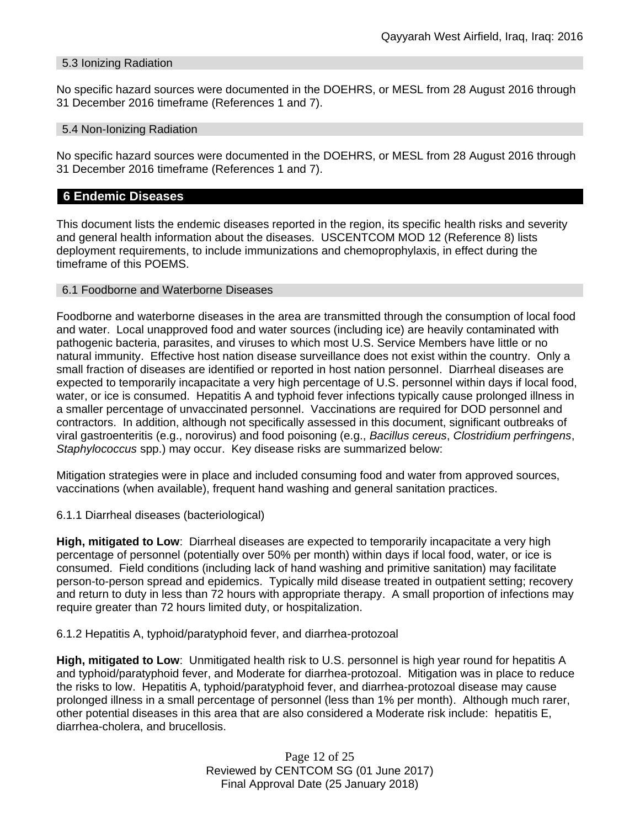# 5.3 Ionizing Radiation

No specific hazard sources were documented in the DOEHRS, or MESL from 28 August 2016 through 31 December 2016 timeframe (References 1 and 7).

#### 5.4 Non-Ionizing Radiation

No specific hazard sources were documented in the DOEHRS, or MESL from 28 August 2016 through 31 December 2016 timeframe (References 1 and 7).

# **6 Endemic Diseases**

This document lists the endemic diseases reported in the region, its specific health risks and severity and general health information about the diseases. USCENTCOM MOD 12 (Reference 8) lists deployment requirements, to include immunizations and chemoprophylaxis, in effect during the timeframe of this POEMS.

## 6.1 Foodborne and Waterborne Diseases

Foodborne and waterborne diseases in the area are transmitted through the consumption of local food and water. Local unapproved food and water sources (including ice) are heavily contaminated with pathogenic bacteria, parasites, and viruses to which most U.S. Service Members have little or no natural immunity. Effective host nation disease surveillance does not exist within the country. Only a small fraction of diseases are identified or reported in host nation personnel. Diarrheal diseases are expected to temporarily incapacitate a very high percentage of U.S. personnel within days if local food, water, or ice is consumed. Hepatitis A and typhoid fever infections typically cause prolonged illness in a smaller percentage of unvaccinated personnel. Vaccinations are required for DOD personnel and contractors. In addition, although not specifically assessed in this document, significant outbreaks of viral gastroenteritis (e.g., norovirus) and food poisoning (e.g., *Bacillus cereus*, *Clostridium perfringens*, *Staphylococcus* spp.) may occur. Key disease risks are summarized below:

Mitigation strategies were in place and included consuming food and water from approved sources, vaccinations (when available), frequent hand washing and general sanitation practices.

6.1.1 Diarrheal diseases (bacteriological)

**High, mitigated to Low**: Diarrheal diseases are expected to temporarily incapacitate a very high percentage of personnel (potentially over 50% per month) within days if local food, water, or ice is consumed. Field conditions (including lack of hand washing and primitive sanitation) may facilitate person-to-person spread and epidemics. Typically mild disease treated in outpatient setting; recovery and return to duty in less than 72 hours with appropriate therapy. A small proportion of infections may require greater than 72 hours limited duty, or hospitalization.

6.1.2 Hepatitis A, typhoid/paratyphoid fever, and diarrhea-protozoal

**High, mitigated to Low**: Unmitigated health risk to U.S. personnel is high year round for hepatitis A and typhoid/paratyphoid fever, and Moderate for diarrhea-protozoal. Mitigation was in place to reduce the risks to low. Hepatitis A, typhoid/paratyphoid fever, and diarrhea-protozoal disease may cause prolonged illness in a small percentage of personnel (less than 1% per month). Although much rarer, other potential diseases in this area that are also considered a Moderate risk include: hepatitis E, diarrhea-cholera, and brucellosis.

> Page 12 of 25 Reviewed by CENTCOM SG (01 June 2017) Final Approval Date (25 January 2018)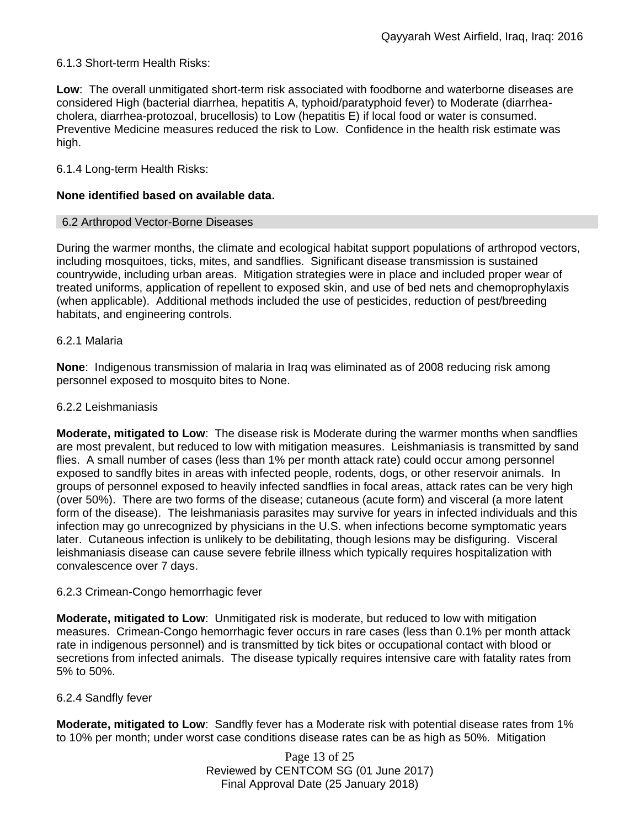# 6.1.3 Short-term Health Risks:

**Low**: The overall unmitigated short-term risk associated with foodborne and waterborne diseases are considered High (bacterial diarrhea, hepatitis A, typhoid/paratyphoid fever) to Moderate (diarrheacholera, diarrhea-protozoal, brucellosis) to Low (hepatitis E) if local food or water is consumed. Preventive Medicine measures reduced the risk to Low. Confidence in the health risk estimate was high.

## 6.1.4 Long-term Health Risks:

#### **None identified based on available data.**

#### 6.2 Arthropod Vector-Borne Diseases

During the warmer months, the climate and ecological habitat support populations of arthropod vectors, including mosquitoes, ticks, mites, and sandflies. Significant disease transmission is sustained countrywide, including urban areas. Mitigation strategies were in place and included proper wear of treated uniforms, application of repellent to exposed skin, and use of bed nets and chemoprophylaxis (when applicable). Additional methods included the use of pesticides, reduction of pest/breeding habitats, and engineering controls.

#### 6.2.1 Malaria

**None**: Indigenous transmission of malaria in Iraq was eliminated as of 2008 reducing risk among personnel exposed to mosquito bites to None.

#### 6.2.2 Leishmaniasis

**Moderate, mitigated to Low**: The disease risk is Moderate during the warmer months when sandflies are most prevalent, but reduced to low with mitigation measures. Leishmaniasis is transmitted by sand flies. A small number of cases (less than 1% per month attack rate) could occur among personnel exposed to sandfly bites in areas with infected people, rodents, dogs, or other reservoir animals. In groups of personnel exposed to heavily infected sandflies in focal areas, attack rates can be very high (over 50%). There are two forms of the disease; cutaneous (acute form) and visceral (a more latent form of the disease). The leishmaniasis parasites may survive for years in infected individuals and this infection may go unrecognized by physicians in the U.S. when infections become symptomatic years later. Cutaneous infection is unlikely to be debilitating, though lesions may be disfiguring. Visceral leishmaniasis disease can cause severe febrile illness which typically requires hospitalization with convalescence over 7 days.

## 6.2.3 Crimean-Congo hemorrhagic fever

**Moderate, mitigated to Low**: Unmitigated risk is moderate, but reduced to low with mitigation measures. Crimean-Congo hemorrhagic fever occurs in rare cases (less than 0.1% per month attack rate in indigenous personnel) and is transmitted by tick bites or occupational contact with blood or secretions from infected animals. The disease typically requires intensive care with fatality rates from 5% to 50%.

#### 6.2.4 Sandfly fever

**Moderate, mitigated to Low**: Sandfly fever has a Moderate risk with potential disease rates from 1% to 10% per month; under worst case conditions disease rates can be as high as 50%. Mitigation

> Page 13 of 25 Reviewed by CENTCOM SG (01 June 2017) Final Approval Date (25 January 2018)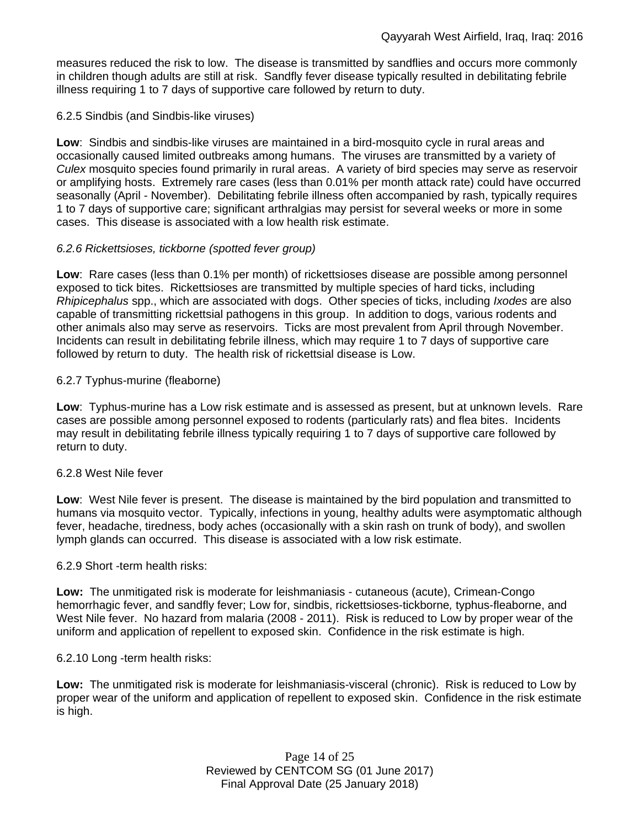measures reduced the risk to low. The disease is transmitted by sandflies and occurs more commonly in children though adults are still at risk. Sandfly fever disease typically resulted in debilitating febrile illness requiring 1 to 7 days of supportive care followed by return to duty.

## 6.2.5 Sindbis (and Sindbis-like viruses)

**Low**: Sindbis and sindbis-like viruses are maintained in a bird-mosquito cycle in rural areas and occasionally caused limited outbreaks among humans. The viruses are transmitted by a variety of *Culex* mosquito species found primarily in rural areas. A variety of bird species may serve as reservoir or amplifying hosts. Extremely rare cases (less than 0.01% per month attack rate) could have occurred seasonally (April - November). Debilitating febrile illness often accompanied by rash, typically requires 1 to 7 days of supportive care; significant arthralgias may persist for several weeks or more in some cases. This disease is associated with a low health risk estimate.

# *6.2.6 Rickettsioses, tickborne (spotted fever group)*

**Low**: Rare cases (less than 0.1% per month) of rickettsioses disease are possible among personnel exposed to tick bites. Rickettsioses are transmitted by multiple species of hard ticks, including *Rhipicephalus* spp., which are associated with dogs. Other species of ticks, including *Ixodes* are also capable of transmitting rickettsial pathogens in this group. In addition to dogs, various rodents and other animals also may serve as reservoirs. Ticks are most prevalent from April through November. Incidents can result in debilitating febrile illness, which may require 1 to 7 days of supportive care followed by return to duty. The health risk of rickettsial disease is Low.

# 6.2.7 Typhus-murine (fleaborne)

**Low**: Typhus-murine has a Low risk estimate and is assessed as present, but at unknown levels. Rare cases are possible among personnel exposed to rodents (particularly rats) and flea bites. Incidents may result in debilitating febrile illness typically requiring 1 to 7 days of supportive care followed by return to duty.

## 6.2.8 West Nile fever

**Low**: West Nile fever is present. The disease is maintained by the bird population and transmitted to humans via mosquito vector. Typically, infections in young, healthy adults were asymptomatic although fever, headache, tiredness, body aches (occasionally with a skin rash on trunk of body), and swollen lymph glands can occurred. This disease is associated with a low risk estimate.

## 6.2.9 Short -term health risks:

**Low:** The unmitigated risk is moderate for leishmaniasis - cutaneous (acute), Crimean-Congo hemorrhagic fever, and sandfly fever; Low for, sindbis, rickettsioses-tickborne*,* typhus-fleaborne, and West Nile fever. No hazard from malaria (2008 - 2011). Risk is reduced to Low by proper wear of the uniform and application of repellent to exposed skin. Confidence in the risk estimate is high.

## 6.2.10 Long -term health risks:

**Low:** The unmitigated risk is moderate for leishmaniasis-visceral (chronic). Risk is reduced to Low by proper wear of the uniform and application of repellent to exposed skin. Confidence in the risk estimate is high.

> Page 14 of 25 Reviewed by CENTCOM SG (01 June 2017) Final Approval Date (25 January 2018)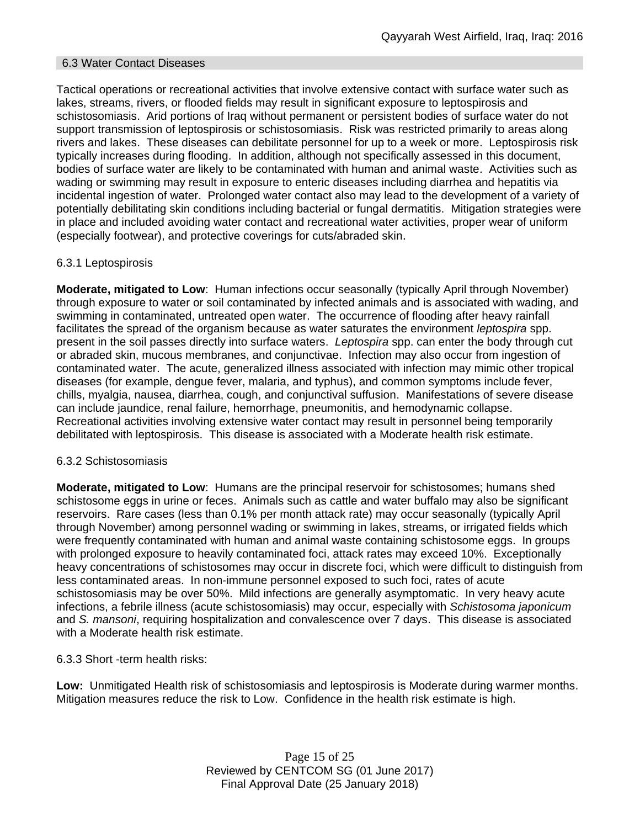# 6.3 Water Contact Diseases

Tactical operations or recreational activities that involve extensive contact with surface water such as lakes, streams, rivers, or flooded fields may result in significant exposure to leptospirosis and schistosomiasis. Arid portions of Iraq without permanent or persistent bodies of surface water do not support transmission of leptospirosis or schistosomiasis. Risk was restricted primarily to areas along rivers and lakes. These diseases can debilitate personnel for up to a week or more. Leptospirosis risk typically increases during flooding. In addition, although not specifically assessed in this document, bodies of surface water are likely to be contaminated with human and animal waste. Activities such as wading or swimming may result in exposure to enteric diseases including diarrhea and hepatitis via incidental ingestion of water. Prolonged water contact also may lead to the development of a variety of potentially debilitating skin conditions including bacterial or fungal dermatitis. Mitigation strategies were in place and included avoiding water contact and recreational water activities, proper wear of uniform (especially footwear), and protective coverings for cuts/abraded skin.

# 6.3.1 Leptospirosis

**Moderate, mitigated to Low**: Human infections occur seasonally (typically April through November) through exposure to water or soil contaminated by infected animals and is associated with wading, and swimming in contaminated, untreated open water. The occurrence of flooding after heavy rainfall facilitates the spread of the organism because as water saturates the environment *leptospira* spp. present in the soil passes directly into surface waters. *Leptospira* spp. can enter the body through cut or abraded skin, mucous membranes, and conjunctivae. Infection may also occur from ingestion of contaminated water. The acute, generalized illness associated with infection may mimic other tropical diseases (for example, dengue fever, malaria, and typhus), and common symptoms include fever, chills, myalgia, nausea, diarrhea, cough, and conjunctival suffusion. Manifestations of severe disease can include jaundice, renal failure, hemorrhage, pneumonitis, and hemodynamic collapse. Recreational activities involving extensive water contact may result in personnel being temporarily debilitated with leptospirosis. This disease is associated with a Moderate health risk estimate.

## 6.3.2 Schistosomiasis

**Moderate, mitigated to Low**: Humans are the principal reservoir for schistosomes; humans shed schistosome eggs in urine or feces. Animals such as cattle and water buffalo may also be significant reservoirs. Rare cases (less than 0.1% per month attack rate) may occur seasonally (typically April through November) among personnel wading or swimming in lakes, streams, or irrigated fields which were frequently contaminated with human and animal waste containing schistosome eggs. In groups with prolonged exposure to heavily contaminated foci, attack rates may exceed 10%. Exceptionally heavy concentrations of schistosomes may occur in discrete foci, which were difficult to distinguish from less contaminated areas. In non-immune personnel exposed to such foci, rates of acute schistosomiasis may be over 50%. Mild infections are generally asymptomatic. In very heavy acute infections, a febrile illness (acute schistosomiasis) may occur, especially with *Schistosoma japonicum*  and *S. mansoni*, requiring hospitalization and convalescence over 7 days. This disease is associated with a Moderate health risk estimate.

6.3.3 Short -term health risks:

**Low:** Unmitigated Health risk of schistosomiasis and leptospirosis is Moderate during warmer months. Mitigation measures reduce the risk to Low. Confidence in the health risk estimate is high.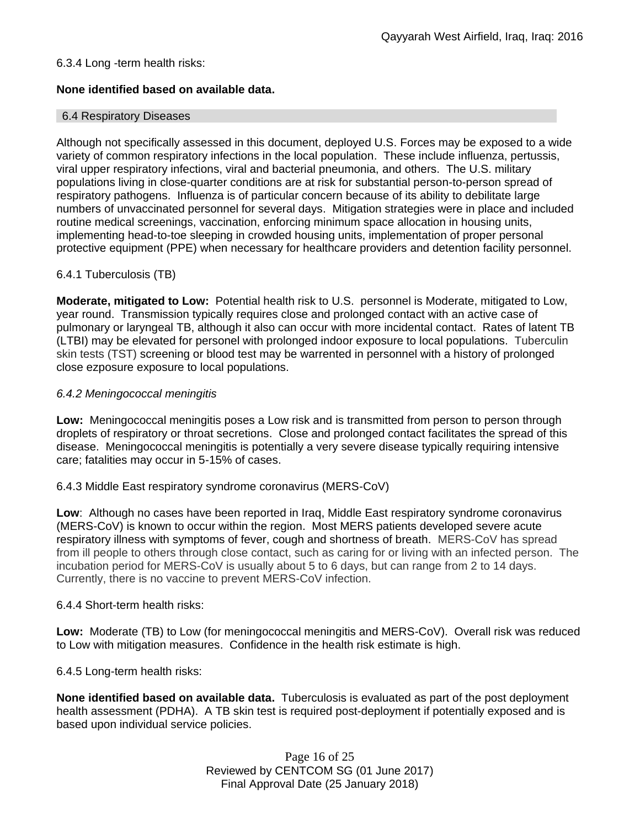# 6.3.4 Long -term health risks:

# **None identified based on available data.**

## 6.4 Respiratory Diseases

Although not specifically assessed in this document, deployed U.S. Forces may be exposed to a wide variety of common respiratory infections in the local population. These include influenza, pertussis, viral upper respiratory infections, viral and bacterial pneumonia, and others. The U.S. military populations living in close-quarter conditions are at risk for substantial person-to-person spread of respiratory pathogens. Influenza is of particular concern because of its ability to debilitate large numbers of unvaccinated personnel for several days. Mitigation strategies were in place and included routine medical screenings, vaccination, enforcing minimum space allocation in housing units, implementing head-to-toe sleeping in crowded housing units, implementation of proper personal protective equipment (PPE) when necessary for healthcare providers and detention facility personnel.

# 6.4.1 Tuberculosis (TB)

**Moderate, mitigated to Low:** Potential health risk to U.S. personnel is Moderate, mitigated to Low, year round. Transmission typically requires close and prolonged contact with an active case of pulmonary or laryngeal TB, although it also can occur with more incidental contact. Rates of latent TB (LTBI) may be elevated for personel with prolonged indoor exposure to local populations. Tuberculin skin tests (TST) screening or blood test may be warrented in personnel with a history of prolonged close ezposure exposure to local populations.

## *6.4.2 Meningococcal meningitis*

**Low:** Meningococcal meningitis poses a Low risk and is transmitted from person to person through droplets of respiratory or throat secretions. Close and prolonged contact facilitates the spread of this disease. Meningococcal meningitis is potentially a very severe disease typically requiring intensive care; fatalities may occur in 5-15% of cases.

## 6.4.3 Middle East respiratory syndrome coronavirus (MERS-CoV)

**Low**: Although no cases have been reported in Iraq, Middle East respiratory syndrome coronavirus (MERS-CoV) is known to occur within the region. Most MERS patients developed severe acute respiratory illness with symptoms of fever, cough and shortness of breath. MERS-CoV has spread from ill people to others through close contact, such as caring for or living with an infected person. The incubation period for MERS-CoV is usually about 5 to 6 days, but can range from 2 to 14 days. Currently, there is no vaccine to prevent MERS-CoV infection.

## 6.4.4 Short-term health risks:

**Low:** Moderate (TB) to Low (for meningococcal meningitis and MERS-CoV). Overall risk was reduced to Low with mitigation measures. Confidence in the health risk estimate is high.

6.4.5 Long-term health risks:

**None identified based on available data.** Tuberculosis is evaluated as part of the post deployment health assessment (PDHA). A TB skin test is required post-deployment if potentially exposed and is based upon individual service policies.

> Page 16 of 25 Reviewed by CENTCOM SG (01 June 2017) Final Approval Date (25 January 2018)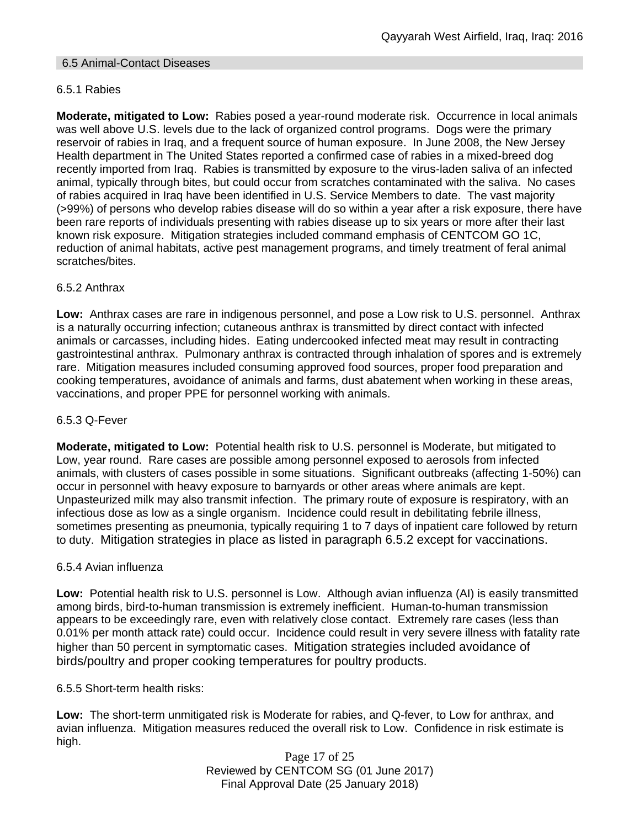# 6.5 Animal-Contact Diseases

# 6.5.1 Rabies

**Moderate, mitigated to Low:** Rabies posed a year-round moderate risk. Occurrence in local animals was well above U.S. levels due to the lack of organized control programs. Dogs were the primary reservoir of rabies in Iraq, and a frequent source of human exposure. In June 2008, the New Jersey Health department in The United States reported a confirmed case of rabies in a mixed-breed dog recently imported from Iraq. Rabies is transmitted by exposure to the virus-laden saliva of an infected animal, typically through bites, but could occur from scratches contaminated with the saliva. No cases of rabies acquired in Iraq have been identified in U.S. Service Members to date. The vast majority (>99%) of persons who develop rabies disease will do so within a year after a risk exposure, there have been rare reports of individuals presenting with rabies disease up to six years or more after their last known risk exposure. Mitigation strategies included command emphasis of CENTCOM GO 1C, reduction of animal habitats, active pest management programs, and timely treatment of feral animal scratches/bites.

# 6.5.2 Anthrax

**Low:** Anthrax cases are rare in indigenous personnel, and pose a Low risk to U.S. personnel. Anthrax is a naturally occurring infection; cutaneous anthrax is transmitted by direct contact with infected animals or carcasses, including hides. Eating undercooked infected meat may result in contracting gastrointestinal anthrax. Pulmonary anthrax is contracted through inhalation of spores and is extremely rare. Mitigation measures included consuming approved food sources, proper food preparation and cooking temperatures, avoidance of animals and farms, dust abatement when working in these areas, vaccinations, and proper PPE for personnel working with animals.

## 6.5.3 Q-Fever

**Moderate, mitigated to Low:** Potential health risk to U.S. personnel is Moderate, but mitigated to Low, year round. Rare cases are possible among personnel exposed to aerosols from infected animals, with clusters of cases possible in some situations. Significant outbreaks (affecting 1-50%) can occur in personnel with heavy exposure to barnyards or other areas where animals are kept. Unpasteurized milk may also transmit infection. The primary route of exposure is respiratory, with an infectious dose as low as a single organism. Incidence could result in debilitating febrile illness, sometimes presenting as pneumonia, typically requiring 1 to 7 days of inpatient care followed by return to duty. Mitigation strategies in place as listed in paragraph 6.5.2 except for vaccinations.

## 6.5.4 Avian influenza

**Low:** Potential health risk to U.S. personnel is Low. Although avian influenza (AI) is easily transmitted among birds, bird-to-human transmission is extremely inefficient. Human-to-human transmission appears to be exceedingly rare, even with relatively close contact. Extremely rare cases (less than 0.01% per month attack rate) could occur. Incidence could result in very severe illness with fatality rate higher than 50 percent in symptomatic cases. Mitigation strategies included avoidance of birds/poultry and proper cooking temperatures for poultry products.

6.5.5 Short-term health risks:

**Low:** The short-term unmitigated risk is Moderate for rabies, and Q-fever, to Low for anthrax, and avian influenza. Mitigation measures reduced the overall risk to Low. Confidence in risk estimate is high.

> Page 17 of 25 Reviewed by CENTCOM SG (01 June 2017) Final Approval Date (25 January 2018)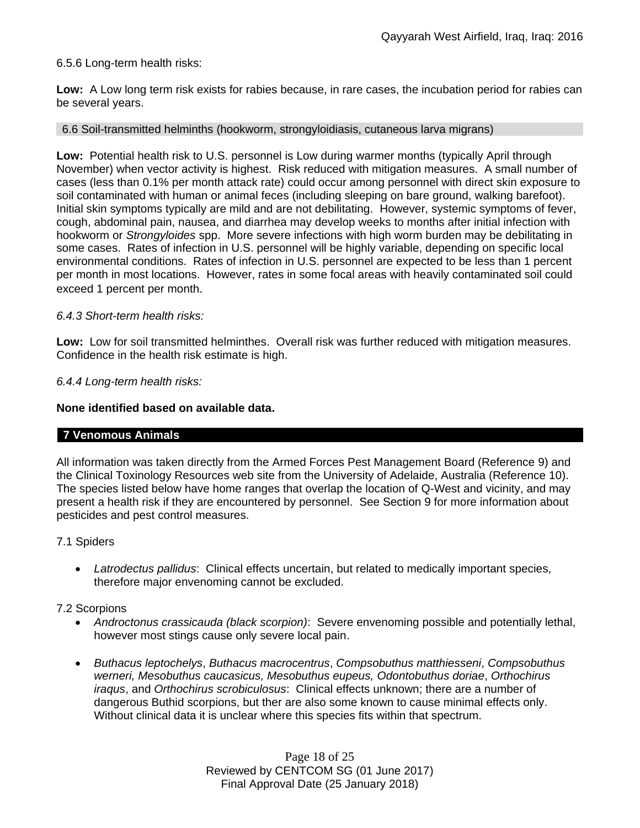# 6.5.6 Long-term health risks:

**Low:** A Low long term risk exists for rabies because, in rare cases, the incubation period for rabies can be several years.

#### 6.6 Soil-transmitted helminths (hookworm, strongyloidiasis, cutaneous larva migrans)

**Low:** Potential health risk to U.S. personnel is Low during warmer months (typically April through November) when vector activity is highest. Risk reduced with mitigation measures. A small number of cases (less than 0.1% per month attack rate) could occur among personnel with direct skin exposure to soil contaminated with human or animal feces (including sleeping on bare ground, walking barefoot). Initial skin symptoms typically are mild and are not debilitating. However, systemic symptoms of fever, cough, abdominal pain, nausea, and diarrhea may develop weeks to months after initial infection with hookworm or *Strongyloides* spp. More severe infections with high worm burden may be debilitating in some cases. Rates of infection in U.S. personnel will be highly variable, depending on specific local environmental conditions. Rates of infection in U.S. personnel are expected to be less than 1 percent per month in most locations. However, rates in some focal areas with heavily contaminated soil could exceed 1 percent per month.

## *6.4.3 Short-term health risks:*

**Low:** Low for soil transmitted helminthes. Overall risk was further reduced with mitigation measures. Confidence in the health risk estimate is high.

## *6.4.4 Long-term health risks:*

#### **None identified based on available data.**

## **7 Venomous Animals**

All information was taken directly from the Armed Forces Pest Management Board (Reference 9) and the Clinical Toxinology Resources web site from the University of Adelaide, Australia (Reference 10). The species listed below have home ranges that overlap the location of Q-West and vicinity, and may present a health risk if they are encountered by personnel. See Section 9 for more information about pesticides and pest control measures.

#### 7.1 Spiders

 *Latrodectus pallidus*: Clinical effects uncertain, but related to medically important species, therefore major envenoming cannot be excluded.

#### 7.2 Scorpions

- *Androctonus crassicauda (black scorpion)*:Severe envenoming possible and potentially lethal, however most stings cause only severe local pain.
- *Buthacus leptochelys*, *Buthacus macrocentrus*, *Compsobuthus matthiesseni*, *Compsobuthus werneri, Mesobuthus caucasicus, Mesobuthus eupeus, Odontobuthus doriae*, *Orthochirus iraqus*, and *Orthochirus scrobiculosus*: Clinical effects unknown; there are a number of dangerous Buthid scorpions, but ther are also some known to cause minimal effects only. Without clinical data it is unclear where this species fits within that spectrum.

Page 18 of 25 Reviewed by CENTCOM SG (01 June 2017) Final Approval Date (25 January 2018)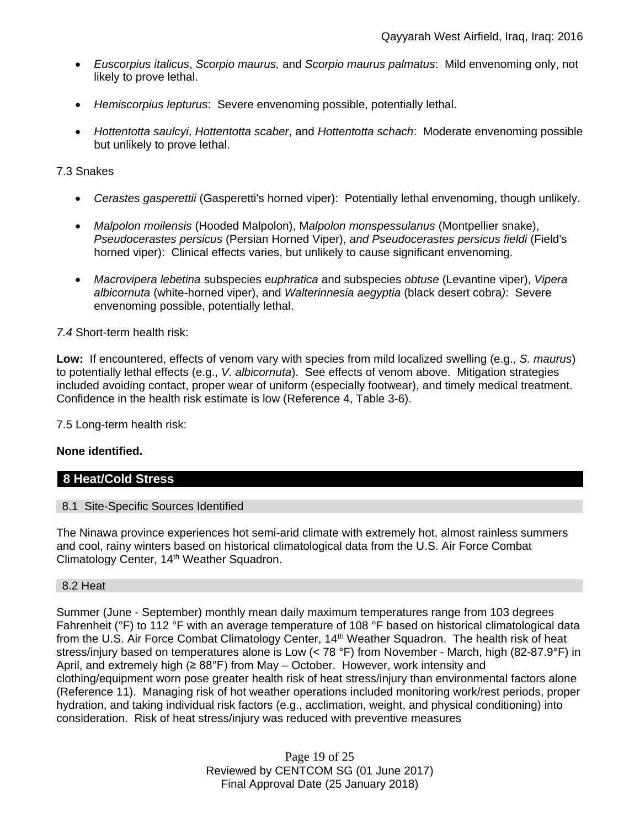- *Euscorpius italicus*, *Scorpio maurus,* and *Scorpio maurus palmatus*: Mild envenoming only, not likely to prove lethal.
- *Hemiscorpius lepturus*: Severe envenoming possible, potentially lethal.
- *Hottentotta saulcyi*, *Hottentotta scaber*, and *Hottentotta schach*: Moderate envenoming possible but unlikely to prove lethal.

## 7.3 Snakes

- *Cerastes gasperettii* (Gasperetti's horned viper): Potentially lethal envenoming, though unlikely.
- *Malpolon moilensis* (Hooded Malpolon), M*alpolon monspessulanus* (Montpellier snake), *Pseudocerastes persicus* (Persian Horned Viper), *and Pseudocerastes persicus fieldi* (Field's horned viper): Clinical effects varies, but unlikely to cause significant envenoming.
- *Macrovipera lebetina* subspecies e*uphratica* and subspecies *obtuse* (Levantine viper), *Vipera albicornuta* (white-horned viper), and *Walterinnesia aegyptia* (black desert cobra*)*: Severe envenoming possible, potentially lethal.

## *7.4* Short-term health risk:

**Low:** If encountered, effects of venom vary with species from mild localized swelling (e.g., *S. maurus*) to potentially lethal effects (e.g., *V. albicornuta*). See effects of venom above. Mitigation strategies included avoiding contact, proper wear of uniform (especially footwear), and timely medical treatment. Confidence in the health risk estimate is low (Reference 4, Table 3-6).

7.5 Long-term health risk:

## **None identified.**

# **8 Heat/Cold Stress**

## 8.1 Site-Specific Sources Identified

The Ninawa province experiences hot semi-arid climate with extremely hot, almost rainless summers and cool, rainy winters based on historical climatological data from the U.S. Air Force Combat Climatology Center, 14<sup>th</sup> Weather Squadron.

#### 8.2 Heat

Summer (June - September) monthly mean daily maximum temperatures range from 103 degrees Fahrenheit (°F) to 112 °F with an average temperature of 108 °F based on historical climatological data from the U.S. Air Force Combat Climatology Center, 14<sup>th</sup> Weather Squadron. The health risk of heat stress/injury based on temperatures alone is Low (< 78 °F) from November - March, high (82-87.9°F) in April, and extremely high ( $\geq 88^\circ$ F) from May – October. However, work intensity and clothing/equipment worn pose greater health risk of heat stress/injury than environmental factors alone (Reference 11). Managing risk of hot weather operations included monitoring work/rest periods, proper hydration, and taking individual risk factors (e.g., acclimation, weight, and physical conditioning) into consideration. Risk of heat stress/injury was reduced with preventive measures

> Page 19 of 25 Reviewed by CENTCOM SG (01 June 2017) Final Approval Date (25 January 2018)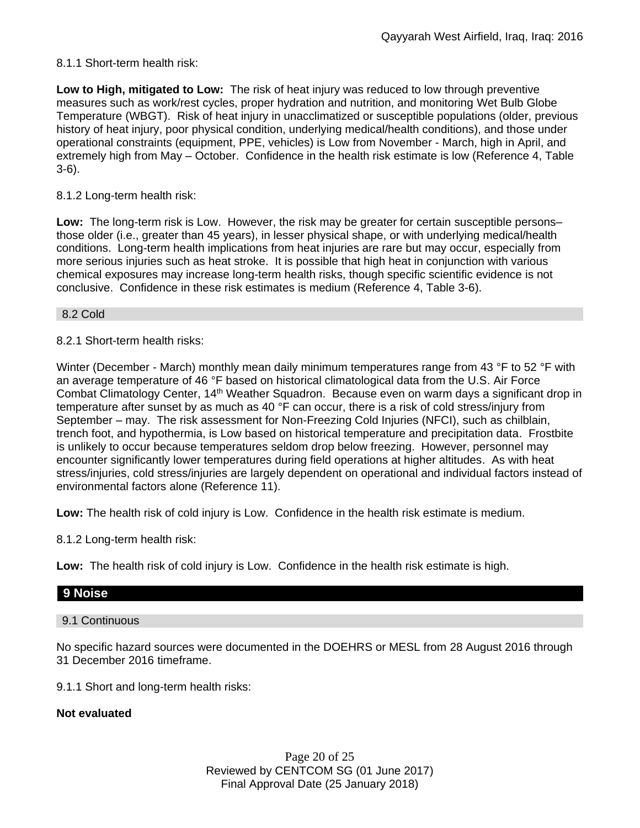# 8.1.1 Short-term health risk:

**Low to High, mitigated to Low:** The risk of heat injury was reduced to low through preventive measures such as work/rest cycles, proper hydration and nutrition, and monitoring Wet Bulb Globe Temperature (WBGT). Risk of heat injury in unacclimatized or susceptible populations (older, previous history of heat injury, poor physical condition, underlying medical/health conditions), and those under operational constraints (equipment, PPE, vehicles) is Low from November - March, high in April, and extremely high from May – October. Confidence in the health risk estimate is low (Reference 4, Table 3-6).

# 8.1.2 Long-term health risk:

**Low:** The long-term risk is Low. However, the risk may be greater for certain susceptible persons– those older (i.e., greater than 45 years), in lesser physical shape, or with underlying medical/health conditions. Long-term health implications from heat injuries are rare but may occur, especially from more serious injuries such as heat stroke. It is possible that high heat in conjunction with various chemical exposures may increase long-term health risks, though specific scientific evidence is not conclusive. Confidence in these risk estimates is medium (Reference 4, Table 3-6).

8.2 Cold

8.2.1 Short-term health risks:

Winter (December - March) monthly mean daily minimum temperatures range from 43 °F to 52 °F with an average temperature of 46 °F based on historical climatological data from the U.S. Air Force Combat Climatology Center, 14<sup>th</sup> Weather Squadron. Because even on warm days a significant drop in temperature after sunset by as much as 40 °F can occur, there is a risk of cold stress/injury from September – may. The risk assessment for Non-Freezing Cold Injuries (NFCI), such as chilblain, trench foot, and hypothermia, is Low based on historical temperature and precipitation data. Frostbite is unlikely to occur because temperatures seldom drop below freezing. However, personnel may encounter significantly lower temperatures during field operations at higher altitudes. As with heat stress/injuries, cold stress/injuries are largely dependent on operational and individual factors instead of environmental factors alone (Reference 11).

**Low:** The health risk of cold injury is Low. Confidence in the health risk estimate is medium.

8.1.2 Long-term health risk:

**Low:** The health risk of cold injury is Low. Confidence in the health risk estimate is high.

# **9 Noise**

9.1 Continuous

No specific hazard sources were documented in the DOEHRS or MESL from 28 August 2016 through 31 December 2016 timeframe.

9.1.1 Short and long-term health risks:

## **Not evaluated**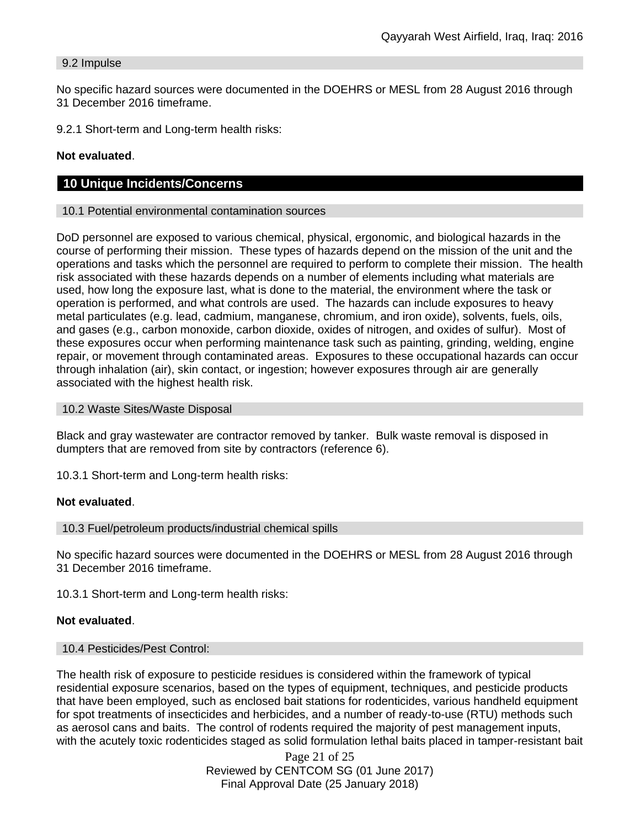# 9.2 Impulse

No specific hazard sources were documented in the DOEHRS or MESL from 28 August 2016 through 31 December 2016 timeframe.

9.2.1 Short-term and Long-term health risks:

# **Not evaluated**.

# **10 Unique Incidents/Concerns**

#### 10.1 Potential environmental contamination sources

DoD personnel are exposed to various chemical, physical, ergonomic, and biological hazards in the course of performing their mission. These types of hazards depend on the mission of the unit and the operations and tasks which the personnel are required to perform to complete their mission. The health risk associated with these hazards depends on a number of elements including what materials are used, how long the exposure last, what is done to the material, the environment where the task or operation is performed, and what controls are used. The hazards can include exposures to heavy metal particulates (e.g. lead, cadmium, manganese, chromium, and iron oxide), solvents, fuels, oils, and gases (e.g., carbon monoxide, carbon dioxide, oxides of nitrogen, and oxides of sulfur). Most of these exposures occur when performing maintenance task such as painting, grinding, welding, engine repair, or movement through contaminated areas. Exposures to these occupational hazards can occur through inhalation (air), skin contact, or ingestion; however exposures through air are generally associated with the highest health risk.

#### 10.2 Waste Sites/Waste Disposal

Black and gray wastewater are contractor removed by tanker. Bulk waste removal is disposed in dumpters that are removed from site by contractors (reference 6).

10.3.1 Short-term and Long-term health risks:

## **Not evaluated**.

10.3 Fuel/petroleum products/industrial chemical spills

No specific hazard sources were documented in the DOEHRS or MESL from 28 August 2016 through 31 December 2016 timeframe.

10.3.1 Short-term and Long-term health risks:

## **Not evaluated**.

#### 10.4 Pesticides/Pest Control:

The health risk of exposure to pesticide residues is considered within the framework of typical residential exposure scenarios, based on the types of equipment, techniques, and pesticide products that have been employed, such as enclosed bait stations for rodenticides, various handheld equipment for spot treatments of insecticides and herbicides, and a number of ready-to-use (RTU) methods such as aerosol cans and baits. The control of rodents required the majority of pest management inputs, with the acutely toxic rodenticides staged as solid formulation lethal baits placed in tamper-resistant bait

> Page 21 of 25 Reviewed by CENTCOM SG (01 June 2017) Final Approval Date (25 January 2018)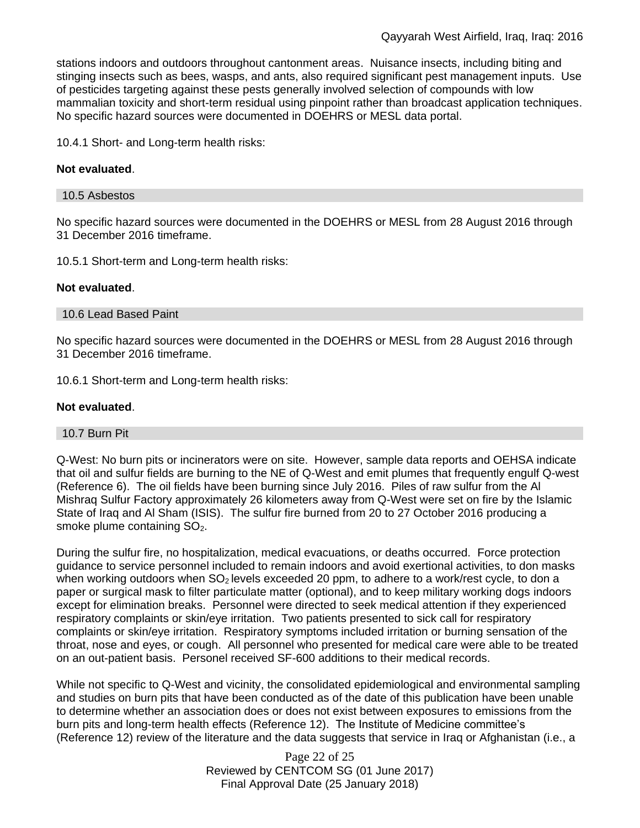stations indoors and outdoors throughout cantonment areas. Nuisance insects, including biting and stinging insects such as bees, wasps, and ants, also required significant pest management inputs. Use of pesticides targeting against these pests generally involved selection of compounds with low mammalian toxicity and short-term residual using pinpoint rather than broadcast application techniques. No specific hazard sources were documented in DOEHRS or MESL data portal.

10.4.1 Short- and Long-term health risks:

# **Not evaluated**.

## 10.5 Asbestos

No specific hazard sources were documented in the DOEHRS or MESL from 28 August 2016 through 31 December 2016 timeframe.

10.5.1 Short-term and Long-term health risks:

## **Not evaluated**.

## 10.6 Lead Based Paint

No specific hazard sources were documented in the DOEHRS or MESL from 28 August 2016 through 31 December 2016 timeframe.

10.6.1 Short-term and Long-term health risks:

# **Not evaluated**.

## 10.7 Burn Pit

Q-West: No burn pits or incinerators were on site. However, sample data reports and OEHSA indicate that oil and sulfur fields are burning to the NE of Q-West and emit plumes that frequently engulf Q-west (Reference 6). The oil fields have been burning since July 2016. Piles of raw sulfur from the Al Mishraq Sulfur Factory approximately 26 kilometers away from Q-West were set on fire by the Islamic State of Iraq and Al Sham (ISIS). The sulfur fire burned from 20 to 27 October 2016 producing a smoke plume containing SO<sub>2</sub>.

During the sulfur fire, no hospitalization, medical evacuations, or deaths occurred. Force protection guidance to service personnel included to remain indoors and avoid exertional activities, to don masks when working outdoors when  $SO<sub>2</sub>$  levels exceeded 20 ppm, to adhere to a work/rest cycle, to don a paper or surgical mask to filter particulate matter (optional), and to keep military working dogs indoors except for elimination breaks. Personnel were directed to seek medical attention if they experienced respiratory complaints or skin/eye irritation. Two patients presented to sick call for respiratory complaints or skin/eye irritation. Respiratory symptoms included irritation or burning sensation of the throat, nose and eyes, or cough. All personnel who presented for medical care were able to be treated on an out-patient basis. Personel received SF-600 additions to their medical records.

While not specific to Q-West and vicinity, the consolidated epidemiological and environmental sampling and studies on burn pits that have been conducted as of the date of this publication have been unable to determine whether an association does or does not exist between exposures to emissions from the burn pits and long-term health effects (Reference 12). The Institute of Medicine committee's (Reference 12) review of the literature and the data suggests that service in Iraq or Afghanistan (i.e., a

> Page 22 of 25 Reviewed by CENTCOM SG (01 June 2017) Final Approval Date (25 January 2018)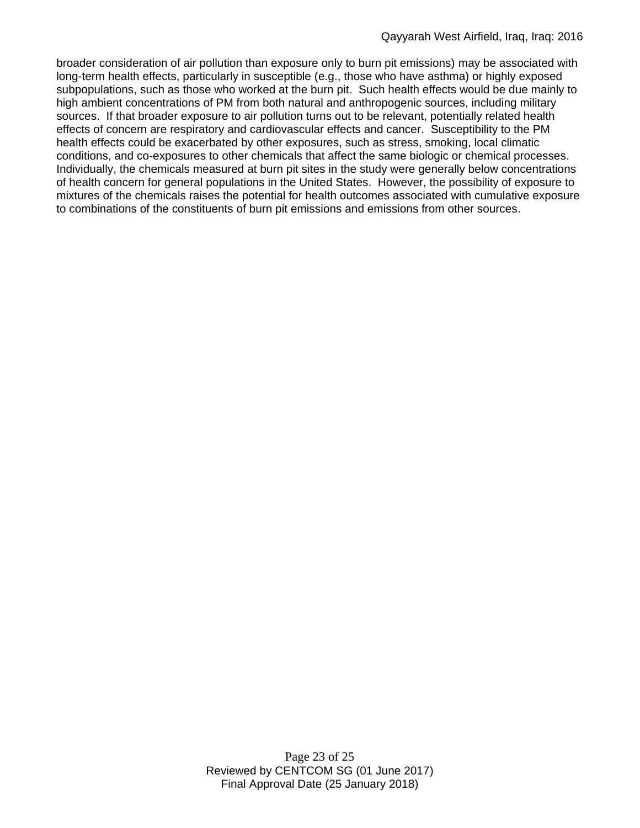broader consideration of air pollution than exposure only to burn pit emissions) may be associated with long-term health effects, particularly in susceptible (e.g., those who have asthma) or highly exposed subpopulations, such as those who worked at the burn pit. Such health effects would be due mainly to high ambient concentrations of PM from both natural and anthropogenic sources, including military sources. If that broader exposure to air pollution turns out to be relevant, potentially related health effects of concern are respiratory and cardiovascular effects and cancer. Susceptibility to the PM health effects could be exacerbated by other exposures, such as stress, smoking, local climatic conditions, and co-exposures to other chemicals that affect the same biologic or chemical processes. Individually, the chemicals measured at burn pit sites in the study were generally below concentrations of health concern for general populations in the United States. However, the possibility of exposure to mixtures of the chemicals raises the potential for health outcomes associated with cumulative exposure to combinations of the constituents of burn pit emissions and emissions from other sources.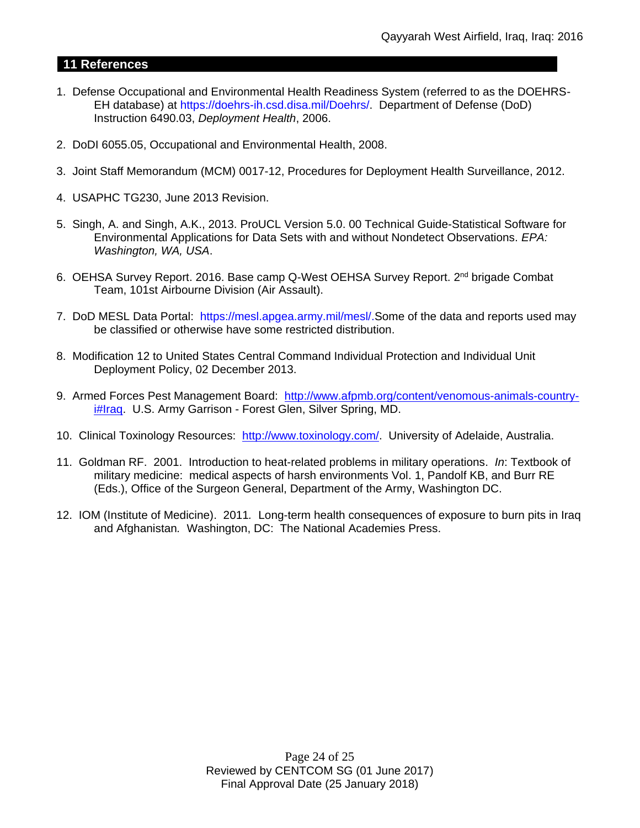# **11 References**

- 1. Defense Occupational and Environmental Health Readiness System (referred to as the DOEHRS-EH database) at https://doehrs-ih.csd.disa.mil/Doehrs/. Department of Defense (DoD) Instruction 6490.03, *Deployment Health*, 2006.
- 2. DoDI 6055.05, Occupational and Environmental Health, 2008.
- 3. Joint Staff Memorandum (MCM) 0017-12, Procedures for Deployment Health Surveillance, 2012.
- 4. USAPHC TG230, June 2013 Revision.
- 5. Singh, A. and Singh, A.K., 2013. ProUCL Version 5.0. 00 Technical Guide-Statistical Software for Environmental Applications for Data Sets with and without Nondetect Observations. *EPA: Washington, WA, USA*.
- 6. OEHSA Survey Report. 2016. Base camp Q-West OEHSA Survey Report. 2<sup>nd</sup> brigade Combat Team, 101st Airbourne Division (Air Assault).
- 7. DoD MESL Data Portal: https://mesl.apgea.army.mil/mesl/.Some of the data and reports used may be classified or otherwise have some restricted distribution.
- 8. Modification 12 to United States Central Command Individual Protection and Individual Unit Deployment Policy, 02 December 2013.
- 9. Armed Forces Pest Management Board: [http://www.afpmb.org/content/venomous-animals-country](http://www.afpmb.org/content/venomous-animals-country-i#Iraq)i**#Iraq.** U.S. Army Garrison - Forest Glen, Silver Spring, MD.
- 10. Clinical Toxinology Resources: [http://www.toxinology.com/.](http://www.toxinology.com/) University of Adelaide, Australia.
- 11. Goldman RF. 2001. Introduction to heat-related problems in military operations. *In*: Textbook of military medicine: medical aspects of harsh environments Vol. 1, Pandolf KB, and Burr RE (Eds.), Office of the Surgeon General, Department of the Army, Washington DC.
- 12. IOM (Institute of Medicine). 2011*.* Long-term health consequences of exposure to burn pits in Iraq and Afghanistan*.* Washington, DC: The National Academies Press.